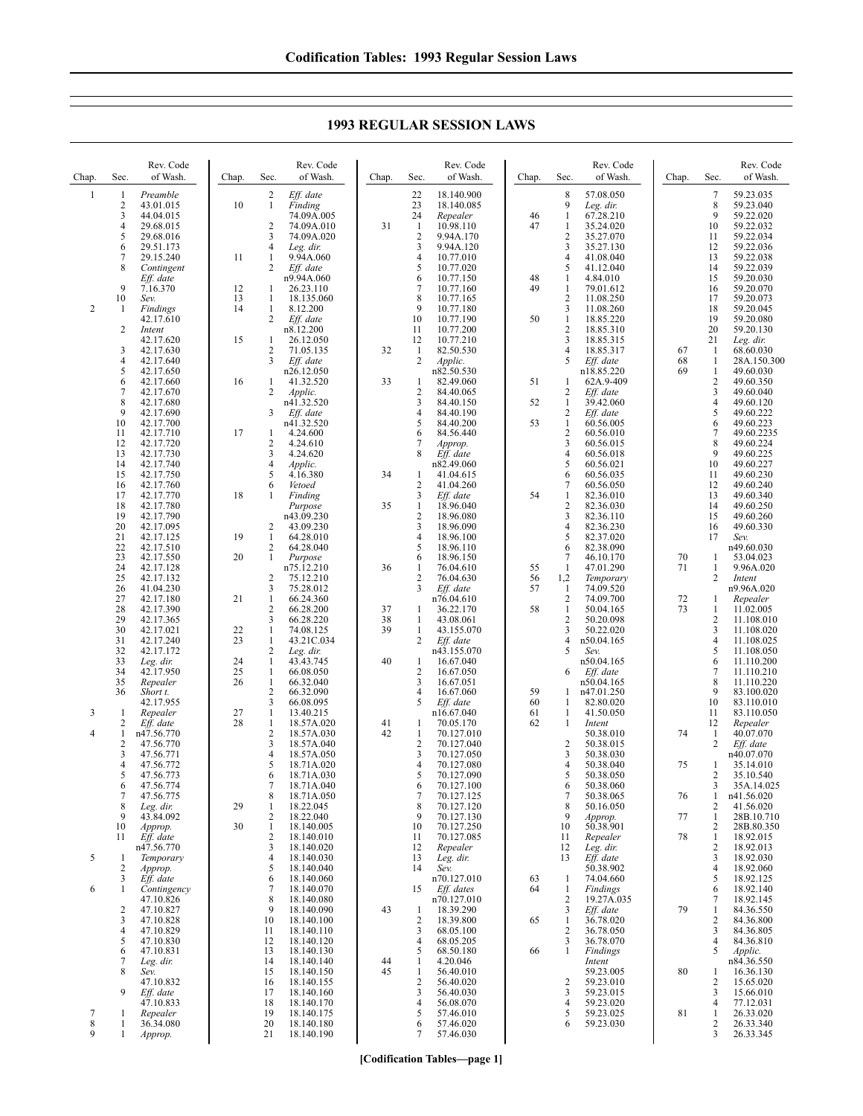**1993 REGULAR SESSION LAWS**

| Chap.        | Sec.                               | Rev. Code<br>of Wash.                                           | Chap.                | Sec.                                                                | Rev. Code<br>of Wash.                                              | Chap.          | Sec.                                              | Rev. Code<br>of Wash.                                              | Chap.                | Sec.                                                             | Rev. Code<br>of Wash.                                          | Chap.    | Sec.                                          | Rev. Code<br>of Wash.                                              |
|--------------|------------------------------------|-----------------------------------------------------------------|----------------------|---------------------------------------------------------------------|--------------------------------------------------------------------|----------------|---------------------------------------------------|--------------------------------------------------------------------|----------------------|------------------------------------------------------------------|----------------------------------------------------------------|----------|-----------------------------------------------|--------------------------------------------------------------------|
| $\mathbf{1}$ | 1<br>2<br>3<br>4<br>5              | Preamble<br>43.01.015<br>44.04.015<br>29.68.015                 | 10                   | 2<br>$\mathbf{1}$<br>2<br>3                                         | Eff. date<br>Finding<br>74.09A.005<br>74.09A.010<br>74.09A.020     | 31             | 22<br>23<br>24<br>$\mathbf{1}$<br>$\sqrt{2}$      | 18.140.900<br>18.140.085<br>Repealer<br>10.98.110<br>9.94A.170     | 46<br>47             | 8<br>9<br>$\mathbf{1}$<br>1<br>$\overline{c}$                    | 57.08.050<br>Leg. dir.<br>67.28.210<br>35.24.020<br>35.27.070  |          | 7<br>8<br>9<br>10<br>11                       | 59.23.035<br>59.23.040<br>59.22.020<br>59.22.032<br>59.22.034      |
|              | 6<br>7<br>8                        | 29.68.016<br>29.51.173<br>29.15.240<br>Contingent<br>Eff. date  | 11                   | 4<br>1<br>2                                                         | Leg. dir.<br>9.94A.060<br>Eff. date<br>n9.94A.060                  |                | 3<br>4<br>5<br>6                                  | 9.94A.120<br>10.77.010<br>10.77.020<br>10.77.150                   | 48                   | 3<br>$\overline{4}$<br>5<br>$\mathbf{1}$                         | 35.27.130<br>41.08.040<br>41.12.040<br>4.84.010                |          | 12<br>13<br>14<br>15                          | 59.22.036<br>59.22.038<br>59.22.039<br>59.20.030                   |
| 2            | 9<br>10<br>-1                      | 7.16.370<br>Sev.<br>Findings<br>42.17.610                       | 12<br>13<br>14       | 1<br>$\mathbf{1}$<br>$\mathbf{1}$<br>2                              | 26.23.110<br>18.135.060<br>8.12.200<br>Eff. date                   |                | 7<br>8<br>9<br>10                                 | 10.77.160<br>10.77.165<br>10.77.180<br>10.77.190                   | 49<br>50             | $\mathbf{1}$<br>$\overline{2}$<br>$\mathfrak{Z}$<br>$\mathbf{1}$ | 79.01.612<br>11.08.250<br>11.08.260<br>18.85.220               |          | 16<br>17<br>18<br>19                          | 59.20.070<br>59.20.073<br>59.20.045<br>59.20.080                   |
|              | 2<br>3<br>4                        | Intent<br>42.17.620<br>42.17.630<br>42.17.640                   | 15                   | 1<br>$\overline{c}$<br>3                                            | n8.12.200<br>26.12.050<br>71.05.135<br>Eff. date                   | 32             | 11<br>12<br>1<br>2                                | 10.77.200<br>10.77.210<br>82.50.530<br>Applic.                     |                      | $\sqrt{2}$<br>3<br>$\overline{4}$<br>5                           | 18.85.310<br>18.85.315<br>18.85.317<br>Eff. date               | 67<br>68 | 20<br>21<br>1<br>1                            | 59.20.130<br>Leg. dir.<br>68.60.030<br>28A.150.300                 |
|              | 5<br>6<br>7<br>8<br>9              | 42.17.650<br>42.17.660<br>42.17.670<br>42.17.680<br>42.17.690   | 16                   | 1<br>2<br>3                                                         | n26.12.050<br>41.32.520<br>Applic.<br>n41.32.520<br>Eff. date      | 33             | 1<br>2<br>3<br>4                                  | n82.50.530<br>82.49.060<br>84.40.065<br>84.40.150<br>84.40.190     | 51<br>52             | -1<br>2<br>$\mathbf{1}$<br>2                                     | n18.85.220<br>62A.9-409<br>Eff. date<br>39.42.060<br>Eff. date | 69       | $\mathbf{1}$<br>2<br>3<br>$\overline{4}$<br>5 | 49.60.030<br>49.60.350<br>49.60.040<br>49.60.120<br>49.60.222      |
|              | 10<br>11<br>12<br>13               | 42.17.700<br>42.17.710<br>42.17.720<br>42.17.730                | 17                   | 1<br>$\overline{c}$<br>3                                            | n41.32.520<br>4.24.600<br>4.24.610<br>4.24.620                     |                | 5<br>6<br>7<br>8                                  | 84.40.200<br>84.56.440<br>Approp.<br>Eff. date                     | 53                   | $\mathbf{1}$<br>$\overline{2}$<br>3<br>$\overline{4}$            | 60.56.005<br>60.56.010<br>60.56.015<br>60.56.018               |          | 6<br>$\tau$<br>8<br>9                         | 49.60.223<br>49.60.2235<br>49.60.224<br>49.60.225                  |
|              | 14<br>15<br>16<br>17               | 42.17.740<br>42.17.750<br>42.17.760<br>42.17.770                | 18                   | $\overline{4}$<br>5<br>6<br>1                                       | Applic.<br>4.16.380<br>Vetoed<br>Finding                           | 34             | 1<br>2<br>3                                       | n82.49.060<br>41.04.615<br>41.04.260<br>Eff. date                  | 54                   | 5<br>6<br>7<br>$\mathbf{1}$                                      | 60.56.021<br>60.56.035<br>60.56.050<br>82.36.010               |          | 10<br>11<br>12<br>13                          | 49.60.227<br>49.60.230<br>49.60.240<br>49.60.340                   |
|              | 18<br>19<br>20<br>21<br>22         | 42.17.780<br>42.17.790<br>42.17.095<br>42.17.125                | 19                   | 2<br>$\mathbf{1}$<br>2                                              | Purpose<br>n43.09.230<br>43.09.230<br>64.28.010<br>64.28.040       | 35             | 1<br>2<br>3<br>4<br>5                             | 18.96.040<br>18.96.080<br>18.96.090<br>18.96.100<br>18.96.110      |                      | $\overline{2}$<br>3<br>4<br>5<br>6                               | 82.36.030<br>82.36.110<br>82.36.230<br>82.37.020<br>82.38.090  |          | 14<br>15<br>16<br>17                          | 49.60.250<br>49.60.260<br>49.60.330<br>Sev.                        |
|              | 23<br>24<br>25<br>26               | 42.17.510<br>42.17.550<br>42.17.128<br>42.17.132<br>41.04.230   | 20                   | 1<br>$\overline{2}$<br>3                                            | Purpose<br>n75.12.210<br>75.12.210<br>75.28.012                    | 36             | 6<br>1<br>$\overline{2}$<br>3                     | 18.96.150<br>76.04.610<br>76.04.630<br>Eff. date                   | 55<br>56<br>57       | 7<br>-1<br>1,2<br>-1                                             | 46.10.170<br>47.01.290<br>Temporary<br>74.09.520               | 70<br>71 | 1<br>1<br>2                                   | n49.60.030<br>53.04.023<br>9.96A.020<br>Intent<br>n9.96A.020       |
|              | 27<br>28<br>29<br>30               | 42.17.180<br>42.17.390<br>42.17.365<br>42.17.021                | 21<br>22             | $\mathbf{1}$<br>2<br>3<br>1                                         | 66.24.360<br>66.28.200<br>66.28.220<br>74.08.125                   | 37<br>38<br>39 | $\mathbf{1}$<br>1<br>$\mathbf{1}$                 | n76.04.610<br>36.22.170<br>43.08.061<br>43.155.070                 | 58                   | 2<br>$\mathbf{1}$<br>$\overline{2}$<br>3                         | 74.09.700<br>50.04.165<br>50.20.098<br>50.22.020               | 72<br>73 | 1<br>$\mathbf{1}$<br>2<br>3                   | Repealer<br>11.02.005<br>11.108.010<br>11.108.020                  |
|              | 31<br>32<br>33<br>34<br>35         | 42.17.240<br>42.17.172<br>Leg. dir.<br>42.17.950<br>Repealer    | 23<br>24<br>25<br>26 | $\mathbf{1}$<br>$\overline{c}$<br>1<br>$\mathbf{1}$<br>$\mathbf{1}$ | 43.21C.034<br>Leg. dir.<br>43.43.745<br>66.08.050<br>66.32.040     | 40             | 2<br>$\mathbf{1}$<br>$\overline{\mathbf{c}}$<br>3 | Eff. date<br>n43.155.070<br>16.67.040<br>16.67.050<br>16.67.051    |                      | 4<br>5<br>6                                                      | n50.04.165<br>Sev.<br>n50.04.165<br>$Eff.$ date<br>n50.04.165  |          | $\overline{4}$<br>5<br>6<br>$\tau$<br>8       | 11.108.025<br>11.108.050<br>11.110.200<br>11.110.210<br>11.110.220 |
| 3            | 36<br>1<br>2                       | Short t.<br>42.17.955<br>Repealer<br>Eff. date                  | 27<br>28             | 2<br>3<br>$\mathbf{1}$<br>1                                         | 66.32.090<br>66.08.095<br>13.40.215<br>18.57A.020                  | 41             | 4<br>5<br>1                                       | 16.67.060<br>Eff. date<br>n16.67.040<br>70.05.170                  | 59<br>60<br>61<br>62 | 1<br>$\mathbf{1}$<br>1<br>-1                                     | n47.01.250<br>82.80.020<br>41.50.050<br>Intent                 |          | 9<br>10<br>11<br>12                           | 83.100.020<br>83.110.010<br>83.110.050<br>Repealer                 |
| 4            | 1<br>$\overline{c}$<br>3<br>4<br>5 | n47.56.770<br>47.56.770<br>47.56.771<br>47.56.772<br>47.56.773  |                      | $\overline{2}$<br>3<br>4<br>5<br>6                                  | 18.57A.030<br>18.57A.040<br>18.57A.050<br>18.71A.020<br>18.71A.030 | 42             | 1<br>$\overline{2}$<br>3<br>4<br>5                | 70.127.010<br>70.127.040<br>70.127.050<br>70.127.080<br>70.127.090 |                      | $\overline{2}$<br>3<br>4<br>5                                    | 50.38.010<br>50.38.015<br>50.38.030<br>50.38.040<br>50.38.050  | 74<br>75 | 1<br>$\overline{c}$<br>1<br>2                 | 40.07.070<br>Eff. date<br>n40.07.070<br>35.14.010<br>35.10.540     |
|              | 6<br>7<br>8<br>9<br>10             | 47.56.774<br>47.56.775<br>Leg. dir.<br>43.84.092<br>Approp.     | 29<br>30             | 7<br>8<br>$\mathbf{1}$<br>$\overline{2}$<br>1                       | 18.71A.040<br>18.71A.050<br>18.22.045<br>18.22.040<br>18.140.005   |                | 6<br>7<br>8<br>9<br>10                            | 70.127.100<br>70.127.125<br>70.127.120<br>70.127.130<br>70.127.250 |                      | 6<br>7<br>8<br>9<br>10                                           | 50.38.060<br>50.38.065<br>50.16.050<br>Approp.<br>50.38.901    | 76<br>77 | 3<br>1<br>2<br>$\mathbf{1}$<br>2              | 35A.14.025<br>n41.56.020<br>41.56.020<br>28B.10.710<br>28B.80.350  |
| 5            | 11<br>1<br>2                       | Eff. date<br>n47.56.770<br>Temporary<br>Approp.                 |                      | $\overline{c}$<br>3<br>$\overline{4}$<br>5                          | 18.140.010<br>18.140.020<br>18.140.030<br>18.140.040               |                | 11<br>12<br>13<br>14                              | 70.127.085<br>Repealer<br>Leg. dir.<br>Sev.                        |                      | 11<br>12<br>13                                                   | Repealer<br>Leg. dir.<br>Eff. date<br>50.38.902                | 78       | $\mathbf{1}$<br>2<br>3<br>$\overline{4}$      | 18.92.015<br>18.92.013<br>18.92.030<br>18.92.060                   |
| 6            | 3<br>1<br>2<br>3                   | Eff. date<br>Contingency<br>47.10.826<br>47.10.827<br>47.10.828 |                      | 6<br>$7\phantom{.0}$<br>8<br>9<br>10                                | 18.140.060<br>18.140.070<br>18.140.080<br>18.140.090<br>18.140.100 | 43             | 15<br>1<br>$\overline{2}$                         | n70.127.010<br>Eff. dates<br>n70.127.010<br>18.39.290<br>18.39.800 | 63<br>64<br>65       | $\mathbf{1}$<br>$\mathbf{1}$<br>2<br>3<br>$\mathbf{1}$           | 74.04.660<br>Findings<br>19.27A.035<br>Eff. date<br>36.78.020  | 79       | 5<br>6<br>7<br>$\mathbf{1}$<br>2              | 18.92.125<br>18.92.140<br>18.92.145<br>84.36.550<br>84.36.800      |
|              | 4<br>5<br>6<br>7<br>8              | 47.10.829<br>47.10.830<br>47.10.831<br>Leg. dir.                |                      | 11<br>12<br>13<br>14                                                | 18.140.110<br>18.140.120<br>18.140.130<br>18.140.140<br>18.140.150 | 44<br>45       | 3<br>4<br>5<br>$\mathbf{1}$                       | 68.05.100<br>68.05.205<br>68.50.180<br>4.20.046<br>56.40.010       | 66                   | 2<br>3<br>1                                                      | 36.78.050<br>36.78.070<br><b>Findings</b><br>Intent            | 80       | 3<br>4<br>5                                   | 84.36.805<br>84.36.810<br>Applic.<br>n84.36.550<br>16.36.130       |
| 7            | 9<br>1                             | Sev.<br>47.10.832<br>Eff. date<br>47.10.833<br>Repealer         |                      | 15<br>16<br>17<br>18<br>19                                          | 18.140.155<br>18.140.160<br>18.140.170<br>18.140.175               |                | $\mathbf{1}$<br>2<br>3<br>4<br>5                  | 56.40.020<br>56.40.030<br>56.08.070<br>57.46.010                   |                      | $\overline{2}$<br>3<br>$\overline{4}$<br>5                       | 59.23.005<br>59.23.010<br>59.23.015<br>59.23.020<br>59.23.025  | 81       | 1<br>2<br>3<br>$\overline{4}$<br>$\mathbf{1}$ | 15.65.020<br>15.66.010<br>77.12.031<br>26.33.020                   |
| 8<br>9       | 1<br>1                             | 36.34.080<br>Approp.                                            |                      | 20<br>21                                                            | 18.140.180<br>18.140.190                                           |                | 6<br>7                                            | 57.46.020<br>57.46.030                                             |                      | 6                                                                | 59.23.030                                                      |          | 2<br>3                                        | 26.33.340<br>26.33.345                                             |

**[Codification Tables—page 1]**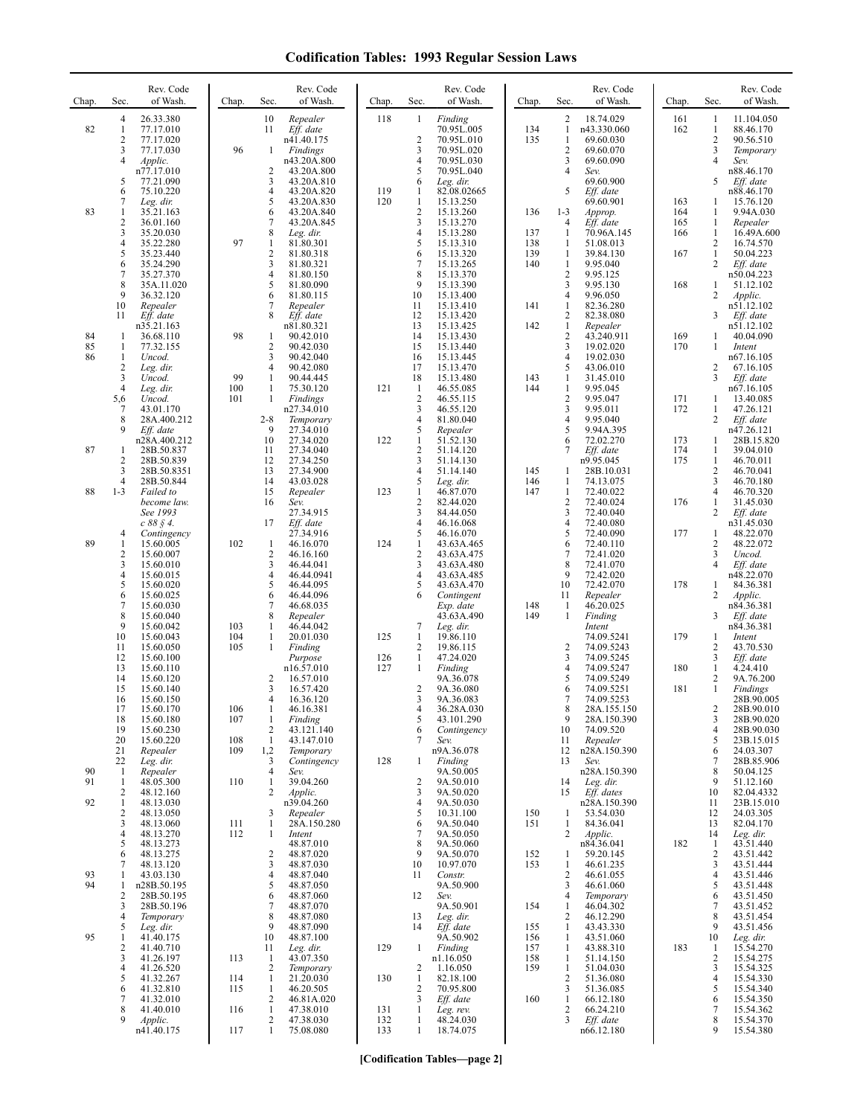| Chap.          | Sec.                                                  | Rev. Code<br>of Wash.                                             | Chap.             | Sec.                                           | Rev. Code<br>of Wash.                                         | Chap.             | Sec.                                                  | Rev. Code<br>of Wash.                                          | Chap.                    | Sec.                                                           | Rev. Code<br>of Wash.                                         | Chap.                    | Sec.                                                                  | Rev. Code<br>of Wash.                                         |
|----------------|-------------------------------------------------------|-------------------------------------------------------------------|-------------------|------------------------------------------------|---------------------------------------------------------------|-------------------|-------------------------------------------------------|----------------------------------------------------------------|--------------------------|----------------------------------------------------------------|---------------------------------------------------------------|--------------------------|-----------------------------------------------------------------------|---------------------------------------------------------------|
| 82             | $\overline{4}$<br>$\mathbf{1}$<br>2<br>3              | 26.33.380<br>77.17.010<br>77.17.020<br>77.17.030                  | 96                | 10<br>11<br>1                                  | Repealer<br>Eff. date<br>n41.40.175<br>Findings               | 118               | 1<br>$\overline{c}$<br>3                              | Finding<br>70.95L.005<br>70.95L.010<br>70.95L.020              | 134<br>135               | 2<br>$\mathbf{1}$<br>$\mathbf{1}$<br>$\overline{c}$            | 18.74.029<br>n43.330.060<br>69.60.030<br>69.60.070            | 161<br>162               | 1<br>$\mathbf{1}$<br>$\overline{c}$<br>3                              | 11.104.050<br>88.46.170<br>90.56.510<br>Temporary             |
|                | 4<br>5<br>6                                           | Applic.<br>n77.17.010<br>77.21.090<br>75.10.220                   |                   | 2<br>3<br>4                                    | n43.20A.800<br>43.20A.800<br>43.20A.810<br>43.20A.820         | 119               | $\overline{4}$<br>5<br>6<br>1                         | 70.95L.030<br>70.95L.040<br>Leg. dir.<br>82.08.02665           |                          | 3<br>$\overline{4}$<br>5                                       | 69.60.090<br>Sev.<br>69.60.900<br>Eff. date                   |                          | 4<br>5                                                                | Sev.<br>n88.46.170<br>Eff. date<br>n88.46.170                 |
| 83             | 7<br>1<br>2<br>3                                      | Leg. dir.<br>35.21.163<br>36.01.160<br>35.20.030                  |                   | 5<br>6<br>7<br>8                               | 43.20A.830<br>43.20A.840<br>43.20A.845<br>Leg. dir.           | 120               | $\mathbf{1}$<br>$\overline{c}$<br>$\mathfrak{Z}$<br>4 | 15.13.250<br>15.13.260<br>15.13.270<br>15.13.280               | 136<br>137               | $1 - 3$<br>$\overline{4}$<br>1                                 | 69.60.901<br>Approp.<br>Eff. date<br>70.96A.145               | 163<br>164<br>165<br>166 | 1<br>1<br>$\mathbf{1}$<br>$\mathbf{1}$                                | 15.76.120<br>9.94A.030<br>Repealer<br>16.49A.600              |
|                | 4<br>5<br>6<br>7                                      | 35.22.280<br>35.23.440<br>35.24.290<br>35.27.370                  | 97                | 1<br>$\mathbf{2}$<br>3<br>$\overline{4}$       | 81.80.301<br>81.80.318<br>81.80.321<br>81.80.150              |                   | 5<br>6<br>7<br>8                                      | 15.13.310<br>15.13.320<br>15.13.265<br>15.13.370               | 138<br>139<br>140        | 1<br>1<br>$\mathbf{1}$<br>$\overline{2}$                       | 51.08.013<br>39.84.130<br>9.95.040<br>9.95.125                | 167                      | $\overline{c}$<br>$\mathbf{1}$<br>$\mathbf{2}$                        | 16.74.570<br>50.04.223<br>Eff. date<br>n50.04.223             |
|                | 8<br>9<br>10<br>11                                    | 35A.11.020<br>36.32.120<br>Repealer<br>Eff. date                  |                   | 5<br>6<br>7<br>8                               | 81.80.090<br>81.80.115<br>Repealer<br>Eff. date               |                   | 9<br>10<br>11<br>12                                   | 15.13.390<br>15.13.400<br>15.13.410<br>15.13.420               | 141                      | 3<br>$\overline{4}$<br>1<br>$\overline{c}$                     | 9.95.130<br>9.96.050<br>82.36.280<br>82.38.080                | 168                      | $\mathbf{1}$<br>2<br>3                                                | 51.12.102<br>Applic.<br>n51.12.102<br>Eff. date               |
| 84<br>85<br>86 | -1<br>1<br>$\mathbf{1}$                               | n35.21.163<br>36.68.110<br>77.32.155<br>Uncod.                    | 98                | 1<br>2<br>3                                    | n81.80.321<br>90.42.010<br>90.42.030<br>90.42.040             |                   | 13<br>14<br>15<br>16                                  | 15.13.425<br>15.13.430<br>15.13.440<br>15.13.445               | 142                      | $\mathbf{1}$<br>$\overline{\mathbf{c}}$<br>3<br>$\overline{4}$ | Repealer<br>43.240.911<br>19.02.020<br>19.02.030              | 169<br>170               | 1<br>1                                                                | n51.12.102<br>40.04.090<br>Intent<br>n67.16.105               |
|                | $\overline{2}$<br>3<br>$\overline{4}$<br>5,6          | Leg. dir.<br>Uncod.<br>Leg. dir.<br>Uncod.                        | 99<br>100<br>101  | 4<br>1<br>1<br>1                               | 90.42.080<br>90.44.445<br>75.30.120<br>Findings               | 121               | 17<br>18<br>$\mathbf{1}$<br>$\overline{2}$            | 15.13.470<br>15.13.480<br>46.55.085<br>46.55.115               | 143<br>144               | 5<br>1<br>$\mathbf{1}$<br>$\overline{2}$                       | 43.06.010<br>31.45.010<br>9.95.045<br>9.95.047                | 171                      | 2<br>3<br>1                                                           | 67.16.105<br>Eff. date<br>n67.16.105<br>13.40.085             |
|                | 7<br>8<br>9                                           | 43.01.170<br>28A.400.212<br>Eff. date<br>n28A.400.212             |                   | $2 - 8$<br>9<br>10                             | n27.34.010<br>Temporary<br>27.34.010<br>27.34.020             | 122               | 3<br>4<br>5<br>1                                      | 46.55.120<br>81.80.040<br>Repealer<br>51.52.130                |                          | 3<br>$\overline{4}$<br>5<br>6                                  | 9.95.011<br>9.95.040<br>9.94A.395<br>72.02.270                | 172<br>173               | $\mathbf{1}$<br>2<br>1                                                | 47.26.121<br>Eff. date<br>n47.26.121<br>28B.15.820            |
| 87             | $\mathbf{1}$<br>$\overline{2}$<br>3<br>$\overline{4}$ | 28B.50.837<br>28B.50.839<br>28B.50.8351<br>28B.50.844             |                   | 11<br>12<br>13<br>14                           | 27.34.040<br>27.34.250<br>27.34.900<br>43.03.028              |                   | $\overline{2}$<br>3<br>4<br>5                         | 51.14.120<br>51.14.130<br>51.14.140<br>Leg. dir.               | 145<br>146               | 7<br>1<br>1                                                    | Eff. date<br>n9.95.045<br>28B.10.031<br>74.13.075             | 174<br>175               | $\mathbf{1}$<br>$\mathbf{1}$<br>$\sqrt{2}$<br>$\overline{\mathbf{3}}$ | 39.04.010<br>46.70.011<br>46.70.041<br>46.70.180              |
| 88             | $1 - 3$                                               | Failed to<br>become law.<br>See 1993<br>$c 88 \S 4$ .             |                   | 15<br>16<br>17                                 | Repealer<br>Sev.<br>27.34.915<br>Eff. date                    | 123               | 1<br>$\overline{2}$<br>3<br>$\overline{4}$            | 46.87.070<br>82.44.020<br>84.44.050<br>46.16.068               | 147                      | 1<br>$\overline{\mathbf{c}}$<br>3<br>$\overline{4}$            | 72.40.022<br>72.40.024<br>72.40.040<br>72.40.080              | 176                      | $\overline{4}$<br>$\mathbf{1}$<br>2                                   | 46.70.320<br>31.45.030<br>Eff. date<br>n31.45.030             |
| 89             | 4<br>$\mathbf{1}$<br>2<br>3                           | Contingency<br>15.60.005<br>15.60.007<br>15.60.010                | 102               | 1<br>2<br>3                                    | 27.34.916<br>46.16.070<br>46.16.160<br>46.44.041              | 124               | 5<br>$\mathbf{1}$<br>$\overline{2}$<br>3              | 46.16.070<br>43.63A.465<br>43.63A.475<br>43.63A.480            |                          | 5<br>6<br>7<br>8                                               | 72.40.090<br>72.40.110<br>72.41.020<br>72.41.070              | 177                      | $\mathbf{1}$<br>$\sqrt{2}$<br>3<br>4                                  | 48.22.070<br>48.22.072<br>Uncod.<br>Eff. date                 |
|                | 4<br>5<br>6<br>7                                      | 15.60.015<br>15.60.020<br>15.60.025<br>15.60.030                  |                   | $\overline{4}$<br>5<br>6<br>7<br>8             | 46.44.0941<br>46.44.095<br>46.44.096<br>46.68.035             |                   | 4<br>5<br>6                                           | 43.63A.485<br>43.63A.470<br>Contingent<br>Exp. date            | 148                      | 9<br>10<br>11<br>1                                             | 72.42.020<br>72.42.070<br>Repealer<br>46.20.025               | 178                      | 1<br>2                                                                | n48.22.070<br>84.36.381<br>Applic.<br>n84.36.381              |
|                | 8<br>9<br>10<br>11<br>12                              | 15.60.040<br>15.60.042<br>15.60.043<br>15.60.050<br>15.60.100     | 103<br>104<br>105 | $\mathbf{1}$<br>$\mathbf{1}$<br>1              | Repealer<br>46.44.042<br>20.01.030<br>Finding                 | 125<br>126        | 7<br>$\mathbf{1}$<br>2<br>$\mathbf{1}$                | 43.63A.490<br>Leg. dir.<br>19.86.110<br>19.86.115<br>47.24.020 | 149                      | 1<br>2<br>3                                                    | Finding<br>Intent<br>74.09.5241<br>74.09.5243<br>74.09.5245   | 179                      | 3<br>1<br>2<br>3                                                      | Eff. date<br>n84.36.381<br>Intent<br>43.70.530<br>Eff. date   |
|                | 13<br>14<br>15<br>16                                  | 15.60.110<br>15.60.120<br>15.60.140<br>15.60.150                  |                   | 2<br>3<br>4                                    | Purpose<br>n16.57.010<br>16.57.010<br>16.57.420<br>16.36.120  | 127               | $\mathbf{1}$<br>$\overline{2}$<br>3                   | Finding<br>9A.36.078<br>9A.36.080<br>9A.36.083                 |                          | $\overline{4}$<br>5<br>6<br>7                                  | 74.09.5247<br>74.09.5249<br>74.09.5251<br>74.09.5253          | 180<br>181               | $\mathbf{1}$<br>2<br>$\mathbf{1}$                                     | 4.24.410<br>9A.76.200<br>Findings<br>28B.90.005               |
|                | 17<br>18<br>19<br>20                                  | 15.60.170<br>15.60.180<br>15.60.230<br>15.60.220                  | 106<br>107<br>108 | -1<br>1<br>2<br>$\mathbf{1}$                   | 46.16.381<br>Finding<br>43.121.140<br>43.147.010              |                   | 4<br>5<br>6<br>7                                      | 36.28A.030<br>43.101.290<br>Contingency<br>Sev.                |                          | 8<br>9<br>10<br>11                                             | 28A.155.150<br>28A.150.390<br>74.09.520<br>Repealer           |                          | $\overline{2}$<br>3<br>4<br>5                                         | 28B.90.010<br>28B.90.020<br>28B.90.030<br>23B.15.015          |
| 90<br>91       | 21<br>22<br>$\mathbf{1}$<br>-1                        | Repealer<br>Leg. dir.<br>Repealer<br>48.05.300                    | 109<br>110        | 1,2<br>3<br>$\overline{4}$<br>1                | Temporary<br>Contingency<br>Sev.<br>39.04.260                 | 128               | 1<br>$\overline{2}$                                   | n9A.36.078<br>Finding<br>9A.50.005<br>9A.50.010                |                          | 12<br>13<br>14                                                 | n28A.150.390<br>Sev.<br>n28A.150.390<br>Leg. dir.             |                          | 6<br>7<br>8<br>9                                                      | 24.03.307<br>28B.85.906<br>50.04.125<br>51.12.160             |
| 92             | $\overline{c}$<br>$\mathbf{1}$<br>2<br>3              | 48.12.160<br>48.13.030<br>48.13.050<br>48.13.060                  | 111               | 2<br>3<br>$\mathbf{1}$                         | Applic.<br>n39.04.260<br>Repealer<br>28A.150.280              |                   | 3<br>$\overline{4}$<br>5<br>6                         | 9A.50.020<br>9A.50.030<br>10.31.100<br>9A.50.040               | 150<br>151               | 15<br>1<br>1                                                   | Eff. dates<br>n28A.150.390<br>53.54.030<br>84.36.041          |                          | 10<br>11<br>12<br>13                                                  | 82.04.4332<br>23B.15.010<br>24.03.305<br>82.04.170            |
|                | 4<br>5<br>6<br>7                                      | 48.13.270<br>48.13.273<br>48.13.275<br>48.13.120                  | 112               | $\mathbf{1}$<br>2<br>3                         | Intent<br>48.87.010<br>48.87.020<br>48.87.030                 |                   | 7<br>8<br>9<br>10                                     | 9A.50.050<br>9A.50.060<br>9A.50.070<br>10.97.070               | 152<br>153               | 2<br>1<br>$\mathbf{1}$                                         | Applic.<br>n84.36.041<br>59.20.145<br>46.61.235               | 182                      | 14<br>1<br>2<br>3                                                     | Leg. dir.<br>43.51.440<br>43.51.442<br>43.51.444              |
| 93<br>94       | 1<br>1<br>$\overline{2}$<br>3<br>4                    | 43.03.130<br>n28B.50.195<br>28B.50.195<br>28B.50.196<br>Temporary |                   | $\overline{4}$<br>5<br>6<br>7<br>8             | 48.87.040<br>48.87.050<br>48.87.060<br>48.87.070<br>48.87.080 |                   | 11<br>12<br>13                                        | Constr.<br>9A.50.900<br>Sev.<br>9A.50.901<br>Leg. dir.         | 154                      | $\overline{c}$<br>3<br>4<br>$\mathbf{1}$<br>$\overline{c}$     | 46.61.055<br>46.61.060<br>Temporary<br>46.04.302<br>46.12.290 |                          | 4<br>5<br>6<br>7<br>8                                                 | 43.51.446<br>43.51.448<br>43.51.450<br>43.51.452<br>43.51.454 |
| 95             | 5<br>1<br>2<br>3                                      | Leg. dir.<br>41.40.175<br>41.40.710<br>41.26.197                  | 113               | 9<br>10<br>11<br>-1                            | 48.87.090<br>48.87.100<br>Leg. dir.<br>43.07.350              | 129               | 14<br>$\mathbf{1}$                                    | Eff. date<br>9A.50.902<br>Finding<br>n1.16.050                 | 155<br>156<br>157<br>158 | 1<br>1<br>1<br>1                                               | 43.43.330<br>43.51.060<br>43.88.310<br>51.14.150              | 183                      | 9<br>10<br>1<br>$\sqrt{2}$                                            | 43.51.456<br>Leg. dir.<br>15.54.270<br>15.54.275              |
|                | 4<br>5<br>6<br>7                                      | 41.26.520<br>41.32.267<br>41.32.810<br>41.32.010                  | 114<br>115        | 2<br>$\mathbf{1}$<br>$\mathbf{1}$<br>2         | Temporary<br>21.20.030<br>46.20.505<br>46.81A.020             | 130               | $\overline{c}$<br>$\mathbf{1}$<br>$\overline{2}$<br>3 | 1.16.050<br>82.18.100<br>70.95.800<br>Eff. date                | 159<br>160               | 1<br>$\overline{\mathbf{c}}$<br>3<br>$\mathbf{1}$              | 51.04.030<br>51.36.080<br>51.36.085<br>66.12.180              |                          | 3<br>4<br>5<br>6                                                      | 15.54.325<br>15.54.330<br>15.54.340<br>15.54.350              |
|                | 8<br>9                                                | 41.40.010<br>Applic.<br>n41.40.175                                | 116<br>117        | $\mathbf{1}$<br>$\overline{c}$<br>$\mathbf{1}$ | 47.38.010<br>47.38.030<br>75.08.080                           | 131<br>132<br>133 | 1<br>1<br>$\mathbf{1}$                                | Leg. rev.<br>48.24.030<br>18.74.075                            |                          | $\overline{\mathbf{c}}$<br>3                                   | 66.24.210<br>Eff. date<br>n66.12.180                          |                          | 7<br>8<br>9                                                           | 15.54.362<br>15.54.370<br>15.54.380                           |

**[Codification Tables—page 2]**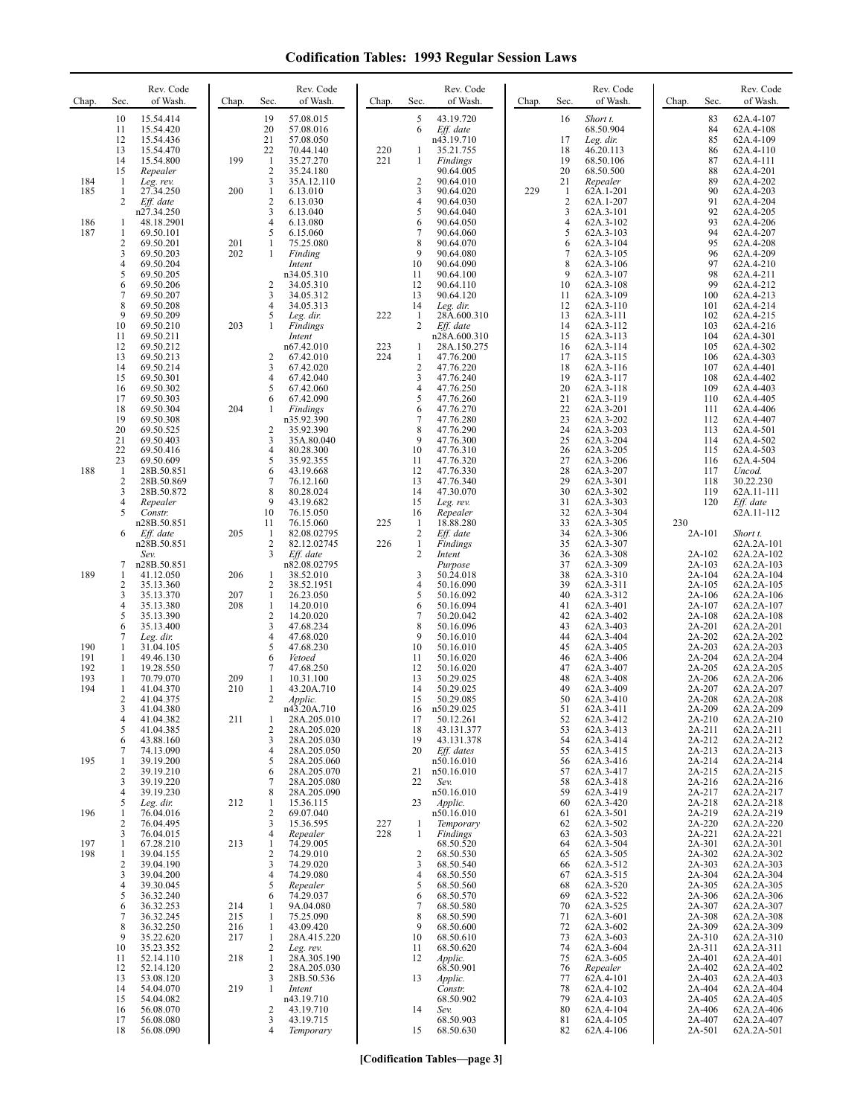| Chap.                           | Sec.                                                | Rev. Code<br>of Wash.                                                                                                          | Chap.                                  | Rev. Code<br>of Wash.<br>Sec.                                                                                                                                                                                                        | Chap.             | Rev. Code<br>of Wash.<br>Sec.                                                                                                                                                 | Chap. | Rev. Code<br>of Wash.<br>Sec.                                                                                                                                                              | Chap.<br>Sec.                                                                                    | Rev. Code<br>of Wash.                                                                                                                    |
|---------------------------------|-----------------------------------------------------|--------------------------------------------------------------------------------------------------------------------------------|----------------------------------------|--------------------------------------------------------------------------------------------------------------------------------------------------------------------------------------------------------------------------------------|-------------------|-------------------------------------------------------------------------------------------------------------------------------------------------------------------------------|-------|--------------------------------------------------------------------------------------------------------------------------------------------------------------------------------------------|--------------------------------------------------------------------------------------------------|------------------------------------------------------------------------------------------------------------------------------------------|
| 184<br>185                      | 10<br>11<br>12<br>13<br>14<br>15<br>-1<br>1<br>2    | 15.54.414<br>15.54.420<br>15.54.436<br>15.54.470<br>15.54.800<br>Repealer<br>Leg. rev.<br>27.34.250<br>Eff. date               | 199<br>200                             | 19<br>57.08.015<br>20<br>57.08.016<br>21<br>57.08.050<br>22<br>70.44.140<br>$\mathbf{1}$<br>35.27.270<br>$\overline{2}$<br>35.24.180<br>3<br>35A.12.110<br>$\mathbf{1}$<br>6.13.010<br>$\sqrt{2}$<br>6.13.030                        | 220<br>221        | 5<br>43.19.720<br>Eff. date<br>6<br>n43.19.710<br>35.21.755<br>1<br>1<br>Findings<br>90.64.005<br>$\overline{2}$<br>90.64.010<br>3<br>90.64.020<br>4<br>90.64.030             | 229   | Short t.<br>16<br>68.50.904<br>17<br>Leg. dir.<br>18<br>46.20.113<br>19<br>68.50.106<br>20<br>68.50.500<br>21<br>Repealer<br>62A.1-201<br>1<br>$\overline{\mathbf{c}}$<br>62A.1-207        | 83<br>84<br>85<br>86<br>87<br>88<br>89<br>90<br>91                                               | 62A.4-107<br>62A.4-108<br>62A.4-109<br>62A.4-110<br>62A.4-111<br>62A.4-201<br>62A.4-202<br>62A.4-203<br>62A.4-204                        |
| 186<br>187                      | 1<br>1<br>$\overline{c}$<br>3<br>4<br>5<br>6<br>7   | n27.34.250<br>48.18.2901<br>69.50.101<br>69.50.201<br>69.50.203<br>69.50.204<br>69.50.205<br>69.50.206<br>69.50.207            | 201<br>202                             | 3<br>6.13.040<br>$\overline{4}$<br>6.13.080<br>5<br>6.15.060<br>1<br>75.25.080<br>1<br>Finding<br>Intent<br>n34.05.310<br>$\overline{2}$<br>34.05.310<br>3<br>34.05.312                                                              |                   | 5<br>90.64.040<br>90.64.050<br>6<br>7<br>90.64.060<br>8<br>90.64.070<br>9<br>90.64.080<br>10<br>90.64.090<br>11<br>90.64.100<br>12<br>90.64.110<br>13<br>90.64.120            |       | 3<br>62A.3-101<br>$\overline{4}$<br>62A.3-102<br>5<br>62A.3-103<br>6<br>62A.3-104<br>$\overline{7}$<br>62A.3-105<br>8<br>62A.3-106<br>9<br>62A.3-107<br>62A.3-108<br>10<br>11<br>62A.3-109 | 92<br>93<br>94<br>95<br>96<br>97<br>98<br>99<br>100                                              | 62A.4-205<br>62A.4-206<br>62A.4-207<br>62A.4-208<br>62A.4-209<br>62A.4-210<br>62A.4-211<br>62A.4-212<br>62A.4-213                        |
|                                 | 8<br>9<br>10<br>11<br>12<br>13<br>14                | 69.50.208<br>69.50.209<br>69.50.210<br>69.50.211<br>69.50.212<br>69.50.213<br>69.50.214                                        | 203                                    | 34.05.313<br>4<br>5<br>Leg. dir.<br>1<br>Findings<br>Intent<br>n67.42.010<br>$\overline{2}$<br>67.42.010<br>3<br>67.42.020<br>$\overline{4}$                                                                                         | 222<br>223<br>224 | 14<br>Leg. dir.<br>28A.600.310<br>-1<br>$\overline{2}$<br>Eff. date<br>n28A.600.310<br>28A.150.275<br>1<br>$\mathbf{1}$<br>47.76.200<br>$\overline{2}$<br>47.76.220           |       | 62A.3-110<br>12<br>13<br>62A.3-111<br>14<br>62A.3-112<br>62A.3-113<br>15<br>16<br>62A.3-114<br>62A.3-115<br>17<br>18<br>62A.3-116                                                          | 101<br>102<br>103<br>104<br>105<br>106<br>107                                                    | 62A.4-214<br>62A.4-215<br>62A.4-216<br>62A.4-301<br>62A.4-302<br>62A.4-303<br>62A.4-401<br>62A.4-402                                     |
|                                 | 15<br>16<br>17<br>18<br>19<br>20<br>21<br>22<br>23  | 69.50.301<br>69.50.302<br>69.50.303<br>69.50.304<br>69.50.308<br>69.50.525<br>69.50.403<br>69.50.416<br>69.50.609              | 204                                    | 67.42.040<br>5<br>67.42.060<br>67.42.090<br>6<br>Findings<br>1<br>n35.92.390<br>35.92.390<br>2<br>3<br>35A.80.040<br>4<br>80.28.300<br>5<br>35.92.355                                                                                |                   | 3<br>47.76.240<br>$\overline{4}$<br>47.76.250<br>5<br>47.76.260<br>47.76.270<br>6<br>7<br>47.76.280<br>8<br>47.76.290<br>9<br>47.76.300<br>10<br>47.76.310<br>11<br>47.76.320 |       | 62A.3-117<br>19<br>20<br>62A.3-118<br>21<br>62A.3-119<br>22<br>62A.3-201<br>23<br>62A.3-202<br>24<br>62A.3-203<br>25<br>62A.3-204<br>26<br>62A.3-205<br>27<br>62A.3-206                    | 108<br>109<br>110<br>111<br>112<br>113<br>114<br>115<br>116                                      | 62A.4-403<br>62A.4-405<br>62A.4-406<br>62A.4-407<br>62A.4-501<br>62A.4-502<br>62A.4-503<br>62A.4-504                                     |
| 188                             | -1<br>$\overline{c}$<br>3<br>4<br>5<br>6            | 28B.50.851<br>28B.50.869<br>28B.50.872<br>Repealer<br>Constr.<br>n28B.50.851<br>Eff. date                                      | 205                                    | 6<br>43.19.668<br>7<br>76.12.160<br>8<br>80.28.024<br>9<br>43.19.682<br>10<br>76.15.050<br>11<br>76.15.060<br>-1<br>82.08.02795                                                                                                      | 225               | 12<br>47.76.330<br>13<br>47.76.340<br>47.30.070<br>14<br>15<br>Leg. rev.<br>Repealer<br>16<br>18.88.280<br>$\mathbf{1}$<br>$\overline{2}$<br>Eff. date                        |       | 28<br>62A.3-207<br>29<br>62A.3-301<br>30<br>62A.3-302<br>31<br>62A.3-303<br>32<br>62A.3-304<br>33<br>62A.3-305<br>34<br>62A.3-306                                                          | 117<br>118<br>119<br>120<br>230<br>2A-101                                                        | Uncod.<br>30.22.230<br>62A.11-111<br>Eff. date<br>62A.11-112<br>Short t.                                                                 |
| 189                             | 7<br>1<br>$\overline{c}$<br>3<br>4<br>5             | n28B.50.851<br>Sev.<br>n28B.50.851<br>41.12.050<br>35.13.360<br>35.13.370<br>35.13.380<br>35.13.390                            | 206<br>207<br>208                      | $\overline{2}$<br>82.12.02745<br>3<br>Eff. date<br>n82.08.02795<br>38.52.010<br>-1<br>$\overline{2}$<br>38.52.1951<br>$\mathbf{1}$<br>26.23.050<br>$\mathbf{1}$<br>14.20.010<br>$\overline{c}$<br>14.20.020                          | 226               | $\mathbf{1}$<br><b>Findings</b><br>2<br>Intent<br>Purpose<br>3<br>50.24.018<br>50.16.090<br>4<br>5<br>50.16.092<br>50.16.094<br>6<br>7<br>50.20.042                           |       | 35<br>62A.3-307<br>36<br>62A.3-308<br>62A.3-309<br>37<br>38<br>62A.3-310<br>39<br>62A.3-311<br>40<br>62A.3-312<br>41<br>62A.3-401<br>42<br>62A.3-402                                       | 2A-102<br>2A-103<br>2A-104<br>2A-105<br>2A-106<br>2A-107<br>2A-108                               | 62A.2A-101<br>62A.2A-102<br>62A.2A-103<br>62A.2A-104<br>62A.2A-105<br>62A.2A-106<br>62A.2A-107<br>62A.2A-108                             |
| 190<br>191<br>192<br>193<br>194 | 6<br>7<br>1<br>1<br>1<br>1<br>1<br>2                | 35.13.400<br>Leg. dir.<br>31.04.105<br>49.46.130<br>19.28.550<br>70.79.070<br>41.04.370<br>41.04.375                           | 209<br>210                             | 3<br>47.68.234<br>$\overline{4}$<br>47.68.020<br>5<br>47.68.230<br>6<br>Vetoed<br>7<br>47.68.250<br>1<br>10.31.100<br>1<br>43.20A.710<br>$\overline{2}$<br>Applic.                                                                   |                   | 8<br>50.16.096<br>9<br>50.16.010<br>10<br>50.16.010<br>11<br>50.16.020<br>12<br>50.16.020<br>13<br>50.29.025<br>14<br>50.29.025<br>15<br>50.29.085                            |       | 43<br>62A.3-403<br>44<br>62A.3-404<br>45<br>62A.3-405<br>46<br>62A.3-406<br>47<br>62A.3-407<br>48<br>62A.3-408<br>49<br>62A.3-409<br>50<br>62A.3-410                                       | 2A-201<br>2A-202<br>2A-203<br>2A-204<br>2A-205<br>2A-206<br>2A-207<br>2A-208                     | 62A.2A-201<br>62A.2A-202<br>62A.2A-203<br>62A.2A-204<br>62A.2A-205<br>62A.2A-206<br>62A.2A-207<br>62A.2A-208                             |
| 195                             | 3<br>4<br>5<br>6<br>7<br>1<br>$\overline{c}$        | 41.04.380<br>41.04.382<br>41.04.385<br>43.88.160<br>74.13.090<br>39.19.200<br>39.19.210                                        | 211                                    | n43.20A.710<br>28A.205.010<br>1<br>$\overline{2}$<br>28A.205.020<br>3<br>28A.205.030<br>$\overline{4}$<br>28A.205.050<br>5<br>28A.205.060<br>6<br>28A.205.070                                                                        |                   | 16<br>n50.29.025<br>50.12.261<br>17<br>18<br>43.131.377<br>19<br>43.131.378<br>Eff. dates<br>20<br>n50.16.010<br>n50.16.010<br>21                                             |       | 51<br>62A.3-411<br>62A.3-412<br>52<br>53<br>62A.3-413<br>62A.3-414<br>54<br>62A.3-415<br>55<br>62A.3-416<br>56<br>62A.3-417<br>57                                                          | 2A-209<br>2A-210<br>2A-211<br>2A-212<br>2A-213<br>2A-214<br>2A-215                               | 62A.2A-209<br>62A.2A-210<br>62A.2A-211<br>62A.2A-212<br>62A.2A-213<br>62A.2A-214<br>62A.2A-215                                           |
| 196                             | 3<br>4<br>5<br>1                                    | 39.19.220<br>39.19.230<br>Leg. dir.<br>76.04.016                                                                               | 212                                    | 7<br>28A.205.080<br>8<br>28A.205.090<br>15.36.115<br>1<br>$\overline{c}$<br>69.07.040                                                                                                                                                |                   | 22<br>Sev.<br>n50.16.010<br>23<br>Applic.<br>n50.16.010                                                                                                                       |       | 58<br>62A.3-418<br>62A.3-419<br>59<br>62A.3-420<br>60<br>62A.3-501<br>61                                                                                                                   | 2A-216<br>2A-217<br>2A-218<br>2A-219                                                             | 62A.2A-216<br>62A.2A-217<br>62A.2A-218<br>62A.2A-219                                                                                     |
| 197<br>198                      | 2<br>3<br>1<br>1<br>$\overline{c}$<br>3<br>4        | 76.04.495<br>76.04.015<br>67.28.210<br>39.04.155<br>39.04.190<br>39.04.200<br>39.30.045                                        | 213                                    | 3<br>15.36.595<br>4<br>Repealer<br>74.29.005<br>-1<br>$\overline{2}$<br>74.29.010<br>74.29.020<br>3<br>$\overline{4}$<br>74.29.080<br>5<br>Repealer                                                                                  | 227<br>228        | Temporary<br>-1<br>Findings<br>1<br>68.50.520<br>2<br>68.50.530<br>68.50.540<br>3<br>4<br>68.50.550<br>5<br>68.50.560                                                         |       | 62A.3-502<br>62<br>62A.3-503<br>63<br>62A.3-504<br>64<br>62A.3-505<br>65<br>62A.3-512<br>66<br>62A.3-515<br>67<br>62A.3-520<br>68                                                          | 2A-220<br>2A-221<br>2A-301<br>2A-302<br>2A-303<br>2A-304<br>2A-305                               | 62A.2A-220<br>62A.2A-221<br>62A.2A-301<br>62A.2A-302<br>62A.2A-303<br>62A.2A-304<br>62A.2A-305                                           |
|                                 | 5<br>6<br>7<br>8<br>9<br>10<br>11<br>12<br>13<br>14 | 36.32.240<br>36.32.253<br>36.32.245<br>36.32.250<br>35.22.620<br>35.23.352<br>52.14.110<br>52.14.120<br>53.08.120<br>54.04.070 | 214<br>215<br>216<br>217<br>218<br>219 | 74.29.037<br>6<br>9A.04.080<br>1<br>1<br>75.25.090<br>43.09.420<br>1<br>1<br>28A.415.220<br>$\overline{2}$<br>Leg. rev.<br>$\mathbf{1}$<br>28A.305.190<br>$\overline{2}$<br>28A.205.030<br>3<br>28B.50.536<br>$\mathbf{1}$<br>Intent |                   | 6<br>68.50.570<br>7<br>68.50.580<br>8<br>68.50.590<br>68.50.600<br>9<br>10<br>68.50.610<br>68.50.620<br>11<br>12<br>Applic.<br>68.50.901<br>13<br>Applic.<br>Constr.          |       | 62A.3-522<br>69<br>62A.3-525<br>70<br>71<br>62A.3-601<br>62A.3-602<br>72<br>73<br>62A.3-603<br>74<br>62A.3-604<br>75<br>62A.3-605<br>76<br>Repealer<br>62A.4-101<br>77<br>78<br>62A.4-102  | 2A-306<br>2A-307<br>2A-308<br>2A-309<br>2A-310<br>2A-311<br>2A-401<br>2A-402<br>2A-403<br>2A-404 | 62A.2A-306<br>62A.2A-307<br>62A.2A-308<br>62A.2A-309<br>62A.2A-310<br>62A.2A-311<br>62A.2A-401<br>62A.2A-402<br>62A.2A-403<br>62A.2A-404 |
|                                 | 15<br>16<br>17<br>18                                | 54.04.082<br>56.08.070<br>56.08.080<br>56.08.090                                                                               |                                        | n43.19.710<br>43.19.710<br>2<br>3<br>43.19.715<br>$\overline{4}$<br>Temporary                                                                                                                                                        |                   | 68.50.902<br>14<br>Sev.<br>68.50.903<br>68.50.630<br>15                                                                                                                       |       | 62A.4-103<br>79<br>80<br>62A.4-104<br>62A.4-105<br>81<br>82<br>62A.4-106                                                                                                                   | 2A-405<br>2A-406<br>2A-407<br>2A-501                                                             | 62A.2A-405<br>62A.2A-406<br>62A.2A-407<br>62A.2A-501                                                                                     |

**[Codification Tables—page 3]**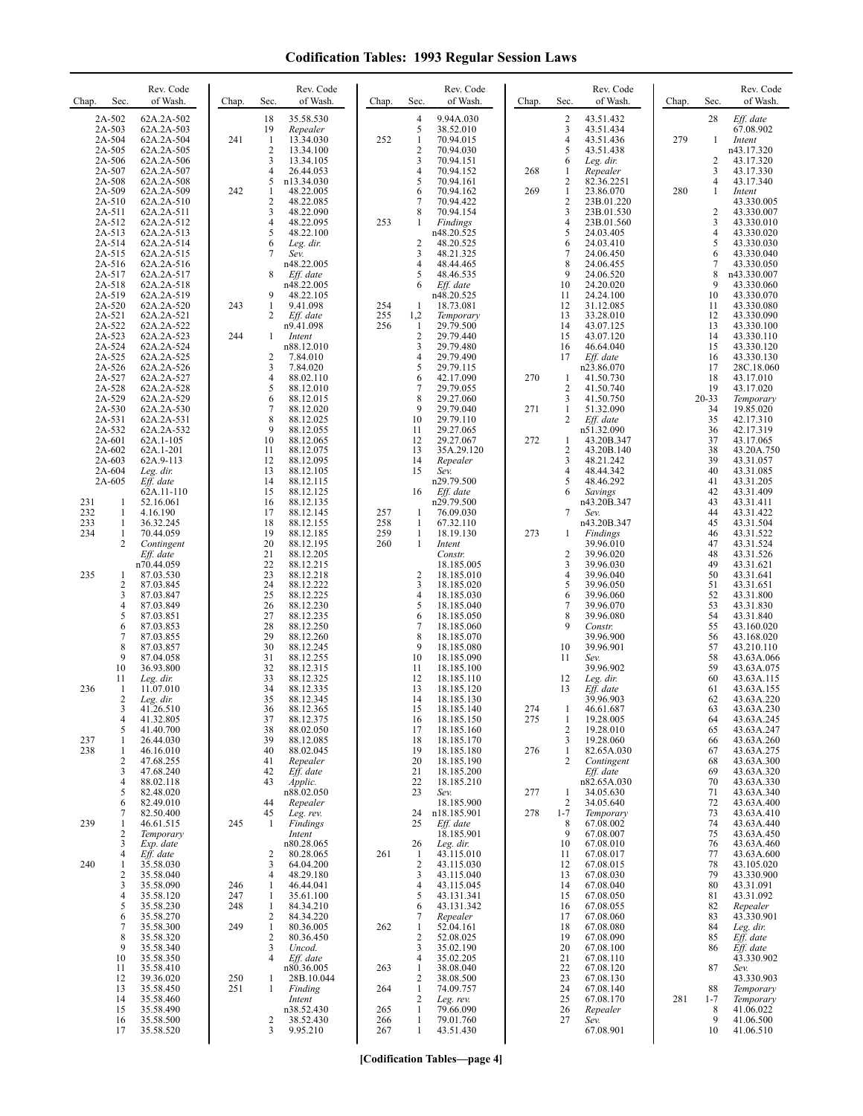| Sec.<br>Chap.                                                        | Rev. Code<br>of Wash.                                                                      | Chap.             | Rev. Code<br>of Wash.<br>Sec.                                                                                                                       | Chap.                    | Sec.                                                                                  | Rev. Code<br>of Wash.                                                                    | Chap.      | Rev. Code<br>of Wash.<br>Sec.                                                                                                                                          | Chap. | Sec.                                    | Rev. Code<br>of Wash.                                                                          |
|----------------------------------------------------------------------|--------------------------------------------------------------------------------------------|-------------------|-----------------------------------------------------------------------------------------------------------------------------------------------------|--------------------------|---------------------------------------------------------------------------------------|------------------------------------------------------------------------------------------|------------|------------------------------------------------------------------------------------------------------------------------------------------------------------------------|-------|-----------------------------------------|------------------------------------------------------------------------------------------------|
| 2A-502<br>2A-503<br>2A-504<br>2A-505<br>2A-506                       | 62A.2A-502<br>62A.2A-503<br>62A.2A-504<br>62A.2A-505<br>62A.2A-506                         | 241               | 18<br>35.58.530<br>19<br>Repealer<br>$\mathbf{1}$<br>13.34.030<br>2<br>13.34.100<br>3<br>13.34.105                                                  | 252                      | 4<br>5<br>1<br>$\overline{c}$<br>3                                                    | 9.94A.030<br>38.52.010<br>70.94.015<br>70.94.030<br>70.94.151                            |            | $\overline{c}$<br>43.51.432<br>3<br>43.51.434<br>$\overline{4}$<br>43.51.436<br>5<br>43.51.438<br>6<br>Leg. dir.                                                       | 279   | 28<br>1<br>2                            | Eff. date<br>67.08.902<br>Intent<br>n43.17.320<br>43.17.320                                    |
| 2A-507<br>2A-508<br>2A-509<br>2A-510<br>2A-511<br>2A-512             | 62A.2A-507<br>62A.2A-508<br>62A.2A-509<br>62A.2A-510<br>62A.2A-511<br>62A.2A-512           | 242               | 4<br>26.44.053<br>5<br>n13.34.030<br>1<br>48.22.005<br>$\overline{c}$<br>48.22.085<br>3<br>48.22.090<br>4<br>48.22.095                              | 253                      | 4<br>5<br>6<br>7<br>8<br>1                                                            | 70.94.152<br>70.94.161<br>70.94.162<br>70.94.422<br>70.94.154<br>Findings                | 268<br>269 | Repealer<br>-1<br>$\sqrt{2}$<br>82.36.2251<br>$\mathbf{1}$<br>23.86.070<br>$\sqrt{2}$<br>23B.01.220<br>3<br>23B.01.530<br>$\overline{4}$<br>23B.01.560                 | 280   | 3<br>4<br>1<br>2<br>3                   | 43.17.330<br>43.17.340<br>Intent<br>43.330.005<br>43.330.007<br>43.330.010                     |
| 2A-513<br>2A-514<br>2A-515<br>2A-516<br>2A-517                       | 62A.2A-513<br>62A.2A-514<br>62A.2A-515<br>62A.2A-516<br>62A.2A-517                         |                   | 5<br>48.22.100<br>6<br>Leg. dir.<br>Sev.<br>n48.22.005<br>8<br>Eff. date                                                                            |                          | 2<br>3<br>5                                                                           | n48.20.525<br>48.20.525<br>48.21.325<br>48.44.465<br>48.46.535                           |            | 5<br>24.03.405<br>6<br>24.03.410<br>7<br>24.06.450<br>8<br>24.06.455<br>9<br>24.06.520                                                                                 |       | 4<br>5<br>6<br>$\tau$<br>8              | 43.330.020<br>43.330.030<br>43.330.040<br>43.330.050<br>n43.330.007                            |
| 2A-518<br>2A-519<br>2A-520<br>2A-521<br>2A-522<br>2A-523             | 62A.2A-518<br>62A.2A-519<br>62A.2A-520<br>62A.2A-521<br>62A.2A-522<br>62A.2A-523           | 243<br>244        | n48.22.005<br>48.22.105<br>9<br>9.41.098<br>1<br>2<br>Eff. date<br>n9.41.098<br>1<br>Intent                                                         | 254<br>255<br>256        | 6<br>-1<br>1,2<br>-1<br>$\overline{2}$                                                | Eff. date<br>n48.20.525<br>18.73.081<br>Temporary<br>29.79.500<br>29.79.440              |            | 10<br>24.20.020<br>11<br>24.24.100<br>12<br>31.12.085<br>13<br>33.28.010<br>14<br>43.07.125<br>15<br>43.07.120                                                         |       | 9<br>10<br>11<br>12<br>13<br>14         | 43.330.060<br>43.330.070<br>43.330.080<br>43.330.090<br>43.330.100<br>43.330.110               |
| 2A-524<br>2A-525<br>2A-526<br>2A-527<br>2A-528<br>2A-529             | 62A.2A-524<br>62A.2A-525<br>62A.2A-526<br>62A.2A-527<br>62A.2A-528<br>62A.2A-529           |                   | n88.12.010<br>2<br>7.84.010<br>3<br>7.84.020<br>4<br>88.02.110<br>5<br>88.12.010<br>6<br>88.12.015                                                  |                          | 3<br>4<br>5<br>6<br>7<br>8                                                            | 29.79.480<br>29.79.490<br>29.79.115<br>42.17.090<br>29.79.055<br>29.27.060               | 270        | 16<br>46.64.040<br>17<br>Eff. date<br>n23.86.070<br>1<br>41.50.730<br>$\overline{c}$<br>41.50.740<br>$\mathfrak{Z}$<br>41.50.750                                       |       | 15<br>16<br>17<br>18<br>19<br>$20 - 33$ | 43.330.120<br>43.330.130<br>28C.18.060<br>43.17.010<br>43.17.020<br>Temporary                  |
| 2A-530<br>2A-531<br>2A-532<br>2A-601<br>2A-602<br>2A-603<br>2A-604   | 62A.2A-530<br>62A.2A-531<br>62A.2A-532<br>62A.1-105<br>62A.1-201<br>62A.9-113<br>Leg. dir. |                   | 7<br>88.12.020<br>8<br>88.12.025<br>9<br>88.12.055<br>10<br>88.12.065<br>11<br>88.12.075<br>12<br>88.12.095<br>13<br>88.12.105                      |                          | 9<br>10<br>11<br>12<br>13<br>14<br>15                                                 | 29.79.040<br>29.79.110<br>29.27.065<br>29.27.067<br>35A.29.120<br>Repealer<br>Sev.       | 271<br>272 | $\mathbf{1}$<br>51.32.090<br>$\overline{c}$<br>Eff. date<br>n51.32.090<br>1<br>43.20B.347<br>$\overline{2}$<br>43.20B.140<br>3<br>48.21.242<br>4<br>48.44.342          |       | 34<br>35<br>36<br>37<br>38<br>39<br>40  | 19.85.020<br>42.17.310<br>42.17.319<br>43.17.065<br>43.20A.750<br>43.31.057<br>43.31.085       |
| 2A-605<br>231<br>1<br>232<br>1<br>233<br>1<br>234<br>1               | Eff. date<br>62A.11-110<br>52.16.061<br>4.16.190<br>36.32.245<br>70.44.059                 |                   | 14<br>88.12.115<br>15<br>88.12.125<br>16<br>88.12.135<br>17<br>88.12.145<br>18<br>88.12.155<br>19<br>88.12.185                                      | 257<br>258<br>259        | 16<br>1<br>1<br>1                                                                     | n29.79.500<br>Eff. date<br>n29.79.500<br>76.09.030<br>67.32.110<br>18.19.130             | 273        | 5<br>48.46.292<br>6<br>Savings<br>n43.20B.347<br>7<br>Sev.<br>n43.20B.347<br>1<br>Findings                                                                             |       | 41<br>42<br>43<br>44<br>45<br>46        | 43.31.205<br>43.31.409<br>43.31.411<br>43.31.422<br>43.31.504<br>43.31.522                     |
| 2<br>235<br>1<br>$\overline{c}$<br>3<br>4                            | Contingent<br>Eff. date<br>n70.44.059<br>87.03.530<br>87.03.845<br>87.03.847<br>87.03.849  |                   | 20<br>88.12.195<br>21<br>88.12.205<br>22<br>88.12.215<br>23<br>88.12.218<br>24<br>88.12.222<br>25<br>88.12.225<br>26<br>88.12.230                   | 260                      | 1<br>$\overline{2}$<br>3<br>4<br>5                                                    | Intent<br>Constr.<br>18.185.005<br>18.185.010<br>18.185.020<br>18.185.030<br>18.185.040  |            | 39.96.010<br>$\overline{c}$<br>39.96.020<br>3<br>39.96.030<br>$\overline{4}$<br>39.96.040<br>5<br>39.96.050<br>6<br>39.96.060<br>$\overline{\mathcal{I}}$<br>39.96.070 |       | 47<br>48<br>49<br>50<br>51<br>52<br>53  | 43.31.524<br>43.31.526<br>43.31.621<br>43.31.641<br>43.31.651<br>43.31.800<br>43.31.830        |
| 5<br>6<br>7<br>8<br>9<br>10                                          | 87.03.851<br>87.03.853<br>87.03.855<br>87.03.857<br>87.04.058<br>36.93.800                 |                   | 27<br>88.12.235<br>28<br>88.12.250<br>29<br>88.12.260<br>30<br>88.12.245<br>31<br>88.12.255<br>32<br>88.12.315                                      |                          | 6<br>7<br>8<br>9<br>10<br>11                                                          | 18.185.050<br>18.185.060<br>18.185.070<br>18.185.080<br>18.185.090<br>18.185.100         |            | 8<br>39.96.080<br>9<br>Constr.<br>39.96.900<br>10<br>39.96.901<br>11<br>Sev.<br>39.96.902                                                                              |       | 54<br>55<br>56<br>57<br>58<br>59        | 43.31.840<br>43.160.020<br>43.168.020<br>43.210.110<br>43.63A.066<br>43.63A.075                |
| 11<br>236<br>1<br>2<br>3<br>4                                        | Leg. dir.<br>11.07.010<br>Leg. dir.<br>41.26.510<br>41.32.805                              |                   | 33<br>88.12.325<br>34<br>88.12.335<br>35<br>88.12.345<br>36<br>88.12.365<br>37<br>88.12.375                                                         |                          | 12<br>13<br>14<br>15<br>16                                                            | 18.185.110<br>18.185.120<br>18.185.130<br>18.185.140<br>18.185.150                       | 274<br>275 | 12<br>Leg. dir.<br>13<br>Eff. date<br>39.96.903<br>46.61.687<br>19.28.005<br>1                                                                                         |       | 60<br>61<br>62<br>63<br>64              | 43.63A.115<br>43.63A.155<br>43.63A.220<br>43.63A.230<br>43.63A.245                             |
| 5<br>237<br>1<br>238<br>1<br>$\overline{c}$<br>3<br>4<br>5           | 41.40.700<br>26.44.030<br>46.16.010<br>47.68.255<br>47.68.240<br>88.02.118<br>82.48.020    |                   | 88.02.050<br>38<br>39<br>88.12.085<br>40<br>88.02.045<br>41<br>Repealer<br>42<br>Eff. date<br>43<br>Applic.<br>n88.02.050                           |                          | 17<br>18<br>19<br>20<br>21<br>22<br>23                                                | 18.185.160<br>18.185.170<br>18.185.180<br>18.185.190<br>18.185.200<br>18.185.210<br>Sev. | 276<br>277 | 19.28.010<br>$\overline{c}$<br>19.28.060<br>3<br>82.65A.030<br>1<br>$\overline{c}$<br>Contingent<br>$Eff.$ date<br>n82.65A.030<br>34.05.630<br>1                       |       | 65<br>66<br>67<br>68<br>69<br>70<br>71  | 43.63A.247<br>43.63A.260<br>43.63A.275<br>43.63A.300<br>43.63A.320<br>43.63A.330<br>43.63A.340 |
| 6<br>7<br>239<br>1<br>2<br>3                                         | 82.49.010<br>82.50.400<br>46.61.515<br>Temporary<br>Exp. date                              | 245               | 44<br>Repealer<br>45<br>Leg. rev.<br>-1<br>Findings<br>Intent<br>n80.28.065                                                                         |                          | 24<br>25<br>26                                                                        | 18.185.900<br>n18.185.901<br>Eff. date<br>18.185.901<br>Leg. dir.                        | 278        | 2<br>34.05.640<br>$1 - 7$<br>Temporary<br>67.08.002<br>8<br>9<br>67.08.007<br>67.08.010<br>10                                                                          |       | 72<br>73<br>74<br>75<br>76              | 43.63A.400<br>43.63A.410<br>43.63A.440<br>43.63A.450<br>43.63A.460                             |
| $\overline{4}$<br>240<br>1<br>$\overline{\mathbf{c}}$<br>3<br>4<br>5 | Eff. date<br>35.58.030<br>35.58.040<br>35.58.090<br>35.58.120<br>35.58.230                 | 246<br>247<br>248 | 80.28.065<br>2<br>3<br>64.04.200<br>$\overline{4}$<br>48.29.180<br>46.44.041<br>1<br>35.61.100<br>1<br>-1<br>84.34.210                              | 261                      | -1<br>$\overline{2}$<br>3<br>4<br>5<br>6                                              | 43.115.010<br>43.115.030<br>43.115.040<br>43.115.045<br>43.131.341<br>43.131.342         |            | 67.08.017<br>11<br>67.08.015<br>12<br>13<br>67.08.030<br>14<br>67.08.040<br>15<br>67.08.050<br>67.08.055<br>16                                                         |       | 77<br>78<br>79<br>80<br>81<br>82        | 43.63A.600<br>43.105.020<br>43.330.900<br>43.31.091<br>43.31.092<br>Repealer                   |
| 6<br>7<br>8<br>9<br>10<br>11                                         | 35.58.270<br>35.58.300<br>35.58.320<br>35.58.340<br>35.58.350<br>35.58.410                 | 249               | $\overline{c}$<br>84.34.220<br>$\mathbf{1}$<br>80.36.005<br>$\overline{c}$<br>80.36.450<br>3<br>Uncod.<br>$\overline{4}$<br>Eff. date<br>n80.36.005 | 262<br>263               | 7<br>1<br>$\overline{c}$<br>3<br>4<br>1                                               | Repealer<br>52.04.161<br>52.08.025<br>35.02.190<br>35.02.205<br>38.08.040                |            | 67.08.060<br>17<br>67.08.080<br>18<br>67.08.090<br>19<br>20<br>67.08.100<br>21<br>67.08.110<br>22<br>67.08.120                                                         |       | 83<br>84<br>85<br>86<br>87              | 43.330.901<br>Leg. dir.<br>Eff. date<br>Eff. date<br>43.330.902<br>Sev.                        |
| 12<br>13<br>14<br>15<br>16<br>17                                     | 39.36.020<br>35.58.450<br>35.58.460<br>35.58.490<br>35.58.500<br>35.58.520                 | 250<br>251        | 1<br>28B.10.044<br>1<br>Finding<br>Intent<br>n38.52.430<br>2<br>38.52.430<br>3<br>9.95.210                                                          | 264<br>265<br>266<br>267 | $\overline{2}$<br>$\mathbf{1}$<br>$\overline{2}$<br>$\mathbf{1}$<br>$\mathbf{1}$<br>1 | 38.08.500<br>74.09.757<br>Leg. rev.<br>79.66.090<br>79.01.760<br>43.51.430               |            | 23<br>67.08.130<br>24<br>67.08.140<br>25<br>67.08.170<br>26<br>Repealer<br>27<br>Sev.<br>67.08.901                                                                     | 281   | 88<br>$1 - 7$<br>8<br>9<br>10           | 43.330.903<br>Temporary<br>Temporary<br>41.06.022<br>41.06.500<br>41.06.510                    |

**[Codification Tables—page 4]**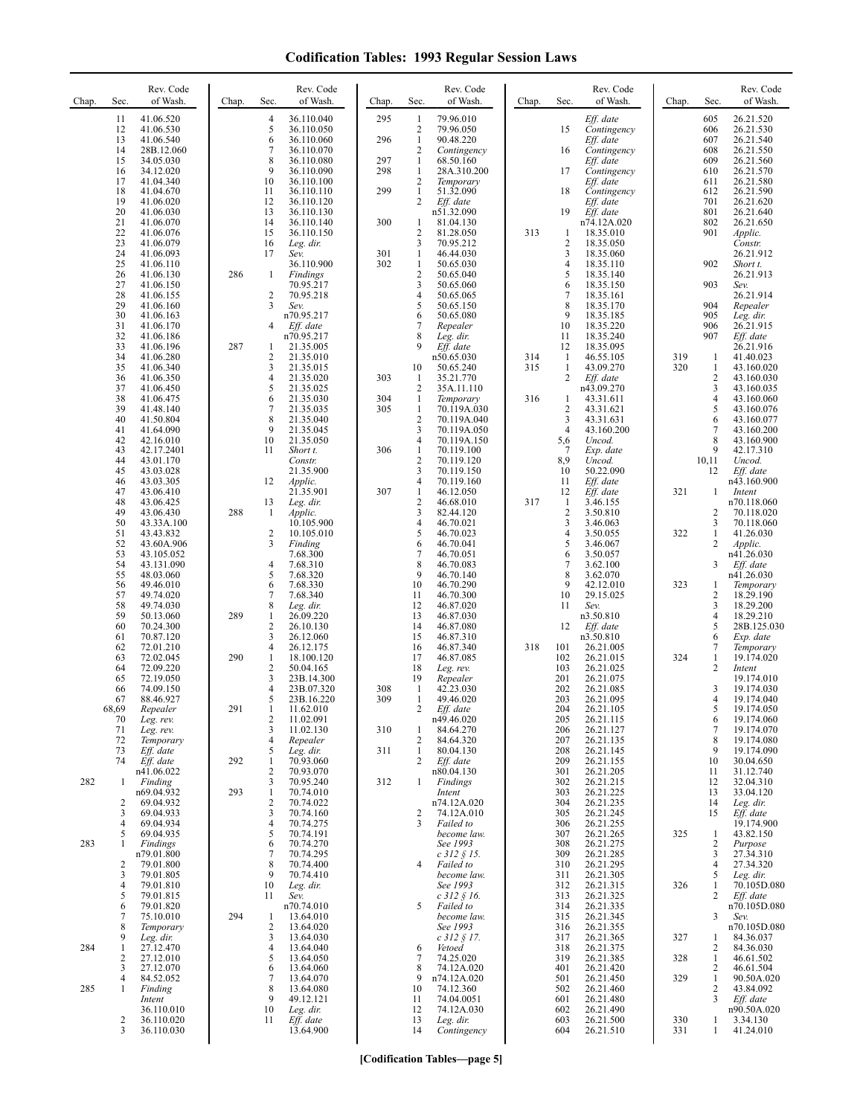| Chap. | Sec.                         | Rev. Code<br>of Wash.    | Chap. | Sec.                | Rev. Code<br>of Wash.    | Chap. | Sec.                           | Rev. Code<br>of Wash.                  | Chap. | Sec.                           | Rev. Code<br>of Wash.      | Chap. | Sec.                | Rev. Code<br>of Wash.     |
|-------|------------------------------|--------------------------|-------|---------------------|--------------------------|-------|--------------------------------|----------------------------------------|-------|--------------------------------|----------------------------|-------|---------------------|---------------------------|
|       | 11<br>12                     | 41.06.520<br>41.06.530   |       | 4<br>5              | 36.110.040<br>36.110.050 | 295   | $\mathbf{1}$<br>$\overline{2}$ | 79.96.010<br>79.96.050                 |       | 15                             | $Eff.$ date<br>Contingency |       | 605<br>606          | 26.21.520<br>26.21.530    |
|       | 13                           | 41.06.540                |       | 6                   | 36.110.060               | 296   | $\mathbf{1}$                   | 90.48.220                              |       |                                | $Eff.$ date                |       | 607                 | 26.21.540                 |
|       | 14<br>15                     | 28B.12.060<br>34.05.030  |       | 7<br>8              | 36.110.070<br>36.110.080 | 297   | $\overline{2}$<br>$\mathbf{1}$ | Contingency<br>68.50.160               |       | 16                             | Contingency<br>Eff. date   |       | 608<br>609          | 26.21.550<br>26.21.560    |
|       | 16<br>17                     | 34.12.020<br>41.04.340   |       | 9<br>10             | 36.110.090<br>36.110.100 | 298   | $\mathbf{1}$<br>2              | 28A.310.200<br>Temporary               |       | 17                             | Contingency<br>Eff. date   |       | 610<br>611          | 26.21.570<br>26.21.580    |
|       | 18<br>19                     | 41.04.670<br>41.06.020   |       | 11<br>12            | 36.110.110<br>36.110.120 | 299   | $\mathbf{1}$<br>2              | 51.32.090<br>Eff. date                 |       | 18                             | Contingency<br>Eff. date   |       | 612<br>701          | 26.21.590<br>26.21.620    |
|       | 20                           | 41.06.030                |       | 13                  | 36.110.130               |       |                                | n51.32.090                             |       | 19                             | Eff. date                  |       | 801                 | 26.21.640                 |
|       | 21<br>22                     | 41.06.070<br>41.06.076   |       | 14<br>15            | 36.110.140<br>36.110.150 | 300   | $\mathbf{1}$<br>2              | 81.04.130<br>81.28.050                 | 313   | -1                             | n74.12A.020<br>18.35.010   |       | 802<br>901          | 26.21.650<br>Applic.      |
|       | 23<br>24                     | 41.06.079<br>41.06.093   |       | 16<br>17            | Leg. dir.<br>Sev.        | 301   | 3<br>$\mathbf{1}$              | 70.95.212<br>46.44.030                 |       | $\overline{c}$<br>3            | 18.35.050<br>18.35.060     |       |                     | Constr.<br>26.21.912      |
|       | 25<br>26                     | 41.06.110                | 286   |                     | 36.110.900<br>Findings   | 302   | $\mathbf{1}$<br>$\overline{c}$ | 50.65.030<br>50.65.040                 |       | $\overline{4}$<br>5            | 18.35.110                  |       | 902                 | Short t.<br>26.21.913     |
|       | 27                           | 41.06.130<br>41.06.150   |       | 1                   | 70.95.217                |       | 3                              | 50.65.060                              |       | 6                              | 18.35.140<br>18.35.150     |       | 903                 | Sev.                      |
|       | 28<br>29                     | 41.06.155<br>41.06.160   |       | 2<br>3              | 70.95.218<br>Sev.        |       | 4<br>5                         | 50.65.065<br>50.65.150                 |       | 7<br>8                         | 18.35.161<br>18.35.170     |       | 904                 | 26.21.914<br>Repealer     |
|       | 30<br>31                     | 41.06.163<br>41.06.170   |       | 4                   | n70.95.217<br>Eff. date  |       | 6<br>7                         | 50.65.080<br>Repealer                  |       | 9<br>10                        | 18.35.185<br>18.35.220     |       | 905<br>906          | Leg. dir.<br>26.21.915    |
|       | 32                           | 41.06.186                |       |                     | n70.95.217               |       | 8<br>9                         | Leg. dir.                              |       | 11                             | 18.35.240                  |       | 907                 | Eff. date                 |
|       | 33<br>34                     | 41.06.196<br>41.06.280   | 287   | 1<br>2              | 21.35.005<br>21.35.010   |       |                                | Eff. date<br>n50.65.030                | 314   | 12<br>$\mathbf{1}$             | 18.35.095<br>46.55.105     | 319   | 1                   | 26.21.916<br>41.40.023    |
|       | 35<br>36                     | 41.06.340<br>41.06.350   |       | 3<br>$\overline{4}$ | 21.35.015<br>21.35.020   | 303   | 10<br>$\mathbf{1}$             | 50.65.240<br>35.21.770                 | 315   | $\mathbf{1}$<br>$\overline{c}$ | 43.09.270<br>Eff. date     | 320   | $\mathbf{1}$<br>2   | 43.160.020<br>43.160.030  |
|       | 37<br>38                     | 41.06.450<br>41.06.475   |       | 5<br>6              | 21.35.025<br>21.35.030   | 304   | $\overline{c}$<br>$\mathbf{1}$ | 35A.11.110<br>Temporary                | 316   | 1                              | n43.09.270<br>43.31.611    |       | 3<br>4              | 43.160.035<br>43.160.060  |
|       | 39                           | 41.48.140                |       | 7                   | 21.35.035                | 305   | $\mathbf{1}$                   | 70.119A.030                            |       | $\sqrt{2}$                     | 43.31.621                  |       | 5                   | 43.160.076                |
|       | 40<br>41                     | 41.50.804<br>41.64.090   |       | 8<br>9              | 21.35.040<br>21.35.045   |       | $\sqrt{2}$<br>3                | 70.119A.040<br>70.119A.050             |       | 3<br>$\overline{4}$            | 43.31.631<br>43.160.200    |       | 6<br>7              | 43.160.077<br>43.160.200  |
|       | 42<br>43                     | 42.16.010<br>42.17.2401  |       | 10<br>11            | 21.35.050<br>Short t.    | 306   | 4<br>$\mathbf{1}$              | 70.119A.150<br>70.119.100              |       | 5,6<br>7                       | Uncod.<br>Exp. date        |       | 8<br>9              | 43.160.900<br>42.17.310   |
|       | 44<br>45                     | 43.01.170<br>43.03.028   |       |                     | Constr.<br>21.35.900     |       | 2<br>3                         | 70.119.120<br>70.119.150               |       | 8,9<br>10                      | Uncod.<br>50.22.090        |       | 10,11<br>12         | Uncod.<br>Eff. date       |
|       | 46                           | 43.03.305                |       | 12                  | Applic.                  |       | $\overline{4}$                 | 70.119.160                             |       | 11                             | Eff. date                  |       |                     | n43.160.900               |
|       | 47<br>48                     | 43.06.410<br>43.06.425   |       | 13                  | 21.35.901<br>Leg. dir.   | 307   | $\mathbf{1}$<br>$\overline{2}$ | 46.12.050<br>46.68.010                 | 317   | 12<br>$\mathbf{1}$             | Eff. date<br>3.46.155      | 321   | 1                   | Intent<br>n70.118.060     |
|       | 49<br>50                     | 43.06.430<br>43.33A.100  | 288   | 1                   | Applic.<br>10.105.900    |       | 3<br>4                         | 82.44.120<br>46.70.021                 |       | $\sqrt{2}$<br>3                | 3.50.810<br>3.46.063       |       | 2<br>3              | 70.118.020<br>70.118.060  |
|       | 51<br>52                     | 43.43.832<br>43.60A.906  |       | 2<br>3              | 10.105.010<br>Finding    |       | 5<br>6                         | 46.70.023<br>46.70.041                 |       | 4<br>5                         | 3.50.055<br>3.46.067       | 322   | 1<br>$\overline{c}$ | 41.26.030<br>Applic.      |
|       | 53                           | 43.105.052               |       |                     | 7.68.300                 |       | 7                              | 46.70.051                              |       | 6                              | 3.50.057                   |       |                     | n41.26.030                |
|       | 54<br>55                     | 43.131.090<br>48.03.060  |       | 4<br>5              | 7.68.310<br>7.68.320     |       | 8<br>9                         | 46.70.083<br>46.70.140                 |       | 7<br>8                         | 3.62.100<br>3.62.070       |       | 3                   | Eff. date<br>n41.26.030   |
|       | 56<br>57                     | 49.46.010<br>49.74.020   |       | 6<br>7              | 7.68.330<br>7.68.340     |       | 10<br>11                       | 46.70.290<br>46.70.300                 |       | 9<br>10                        | 42.12.010<br>29.15.025     | 323   | 1<br>2              | Temporary<br>18.29.190    |
|       | 58<br>59                     | 49.74.030<br>50.13.060   | 289   | 8<br>1              | Leg. dir.<br>26.09.220   |       | 12<br>13                       | 46.87.020<br>46.87.030                 |       | 11                             | Sev.<br>n3.50.810          |       | 3<br>$\overline{4}$ | 18.29.200<br>18.29.210    |
|       | 60<br>61                     | 70.24.300<br>70.87.120   |       | $\overline{c}$<br>3 | 26.10.130<br>26.12.060   |       | 14<br>15                       | 46.87.080<br>46.87.310                 |       | 12                             | Eff. date<br>n3.50.810     |       | 5<br>6              | 28B.125.030<br>Exp. date  |
|       | 62                           | 72.01.210                |       | 4                   | 26.12.175                |       | 16                             | 46.87.340                              | 318   | 101                            | 26.21.005                  |       | 7                   | Temporary                 |
|       | 63<br>64                     | 72.02.045<br>72.09.220   | 290   | $\mathbf{1}$<br>2   | 18.100.120<br>50.04.165  |       | 17<br>18                       | 46.87.085<br>Leg. rev.                 |       | 102<br>103                     | 26.21.015<br>26.21.025     | 324   | $\mathbf{1}$<br>2   | 19.174.020<br>Intent      |
|       | 65<br>66                     | 72.19.050<br>74.09.150   |       | 3<br>$\overline{4}$ | 23B.14.300<br>23B.07.320 | 308   | 19<br>$\mathbf{1}$             | Repealer<br>42.23.030                  |       | 201<br>202                     | 26.21.075<br>26.21.085     |       | 3                   | 19.174.010<br>19.174.030  |
|       | 67<br>68,69                  | 88.46.927                | 291   | 5<br>1              | 23B.16.220<br>11.62.010  | 309   | 1                              | 49.46.020<br>Eff. date                 |       | 203<br>204                     | 26.21.095                  |       | 4<br>5              | 19.174.040<br>19.174.050  |
|       | 70                           | Repealer<br>Leg. rev.    |       | 2                   | 11.02.091                |       |                                | n49.46.020                             |       | 205                            | 26.21.105<br>26.21.115     |       | 6                   | 19.174.060                |
|       | 71<br>72                     | Leg. rev.<br>Temporary   |       | 3<br>4              | 11.02.130<br>Repealer    | 310   | $\mathbf{1}$<br>2              | 84.64.270<br>84.64.320                 |       | 206<br>207                     | 26.21.127<br>26.21.135     |       | 7<br>8              | 19.174.070<br>19.174.080  |
|       | 73<br>74                     | Eff. date<br>Eff. date   | 292   | 5<br>$\mathbf{1}$   | Leg. dir.<br>70.93.060   | 311   | $\mathbf{1}$<br>2              | 80.04.130<br>Eff. date                 |       | 208<br>209                     | 26.21.145<br>26.21.155     |       | 9<br>10             | 19.174.090<br>30.04.650   |
| 282   | 1                            | n41.06.022<br>Finding    |       | $\overline{c}$<br>3 | 70.93.070<br>70.95.240   | 312   | $\mathbf{1}$                   | n80.04.130<br>Findings                 |       | 301<br>302                     | 26.21.205<br>26.21.215     |       | 11<br>12            | 31.12.740<br>32.04.310    |
|       |                              | n69.04.932<br>69.04.932  | 293   | $\mathbf{1}$        | 70.74.010<br>70.74.022   |       |                                | Intent<br>n74.12A.020                  |       | 303<br>304                     | 26.21.225                  |       | 13<br>14            | 33.04.120<br>Leg. dir.    |
|       | 2<br>3                       | 69.04.933                |       | 2<br>3              | 70.74.160                |       | 2                              | 74.12A.010                             |       | 305                            | 26.21.235<br>26.21.245     |       | 15                  | Eff. date                 |
|       | $\overline{4}$<br>5          | 69.04.934<br>69.04.935   |       | 4<br>5              | 70.74.275<br>70.74.191   |       | 3                              | Failed to<br>become law.               |       | 306<br>307                     | 26.21.255<br>26.21.265     | 325   | 1                   | 19.174.900<br>43.82.150   |
| 283   | $\mathbf{1}$                 | Findings<br>n79.01.800   |       | 6<br>$\overline{7}$ | 70.74.270<br>70.74.295   |       |                                | See 1993<br>c 312 § 15.                |       | 308<br>309                     | 26.21.275<br>26.21.285     |       | 2<br>3              | Purpose<br>27.34.310      |
|       | $\overline{\mathbf{c}}$<br>3 | 79.01.800<br>79.01.805   |       | 8<br>9              | 70.74.400<br>70.74.410   |       | 4                              | Failed to<br>become law.               |       | 310<br>311                     | 26.21.295<br>26.21.305     |       | $\overline{4}$<br>5 | 27.34.320<br>Leg. dir.    |
|       | $\overline{4}$               | 79.01.810                |       | 10                  | Leg. dir.                |       |                                | See 1993                               |       | 312                            | 26.21.315                  | 326   | 1                   | 70.105D.080               |
|       | 5<br>6                       | 79.01.815<br>79.01.820   |       | 11                  | Sev.<br>n70.74.010       |       | 5                              | $c$ 312 $\frac{6}{5}$ 16.<br>Failed to |       | 313<br>314                     | 26.21.325<br>26.21.335     |       | 2                   | Eff. date<br>n70.105D.080 |
|       | $\overline{7}$<br>8          | 75.10.010<br>Temporary   | 294   | $\mathbf{1}$<br>2   | 13.64.010<br>13.64.020   |       |                                | become law.<br>See 1993                |       | 315<br>316                     | 26.21.345<br>26.21.355     |       | 3                   | Sev.<br>n70.105D.080      |
| 284   | 9<br>-1                      | Leg. dir.<br>27.12.470   |       | 3<br>4              | 13.64.030<br>13.64.040   |       | 6                              | $c$ 312 § 17.<br>Vetoed                |       | 317<br>318                     | 26.21.365<br>26.21.375     | 327   | 1<br>2              | 84.36.037<br>84.36.030    |
|       | $\overline{2}$<br>3          | 27.12.010                |       | 5<br>6              | 13.64.050<br>13.64.060   |       | 7<br>8                         | 74.25.020<br>74.12A.020                |       | 319<br>401                     | 26.21.385                  | 328   | $\mathbf{1}$<br>2   | 46.61.502<br>46.61.504    |
|       | $\overline{4}$               | 27.12.070<br>84.52.052   |       | 7                   | 13.64.070                |       | 9                              | n74.12A.020                            |       | 501                            | 26.21.420<br>26.21.450     | 329   | $\mathbf{1}$        | 90.50A.020                |
| 285   | $\mathbf{1}$                 | Finding<br>Intent        |       | 8<br>9              | 13.64.080<br>49.12.121   |       | 10<br>11                       | 74.12.360<br>74.04.0051                |       | 502<br>601                     | 26.21.460<br>26.21.480     |       | 2<br>3              | 43.84.092<br>Eff. date    |
|       | $\overline{c}$               | 36.110.010<br>36.110.020 |       | 10<br>11            | Leg. dir.<br>Eff. date   |       | 12<br>13                       | 74.12A.030<br>Leg. dir.                |       | 602<br>603                     | 26.21.490<br>26.21.500     | 330   | 1                   | n90.50A.020<br>3.34.130   |
|       | 3                            | 36.110.030               |       |                     | 13.64.900                |       | 14                             | Contingency                            |       | 604                            | 26.21.510                  | 331   | 1                   | 41.24.010                 |

**[Codification Tables—page 5]**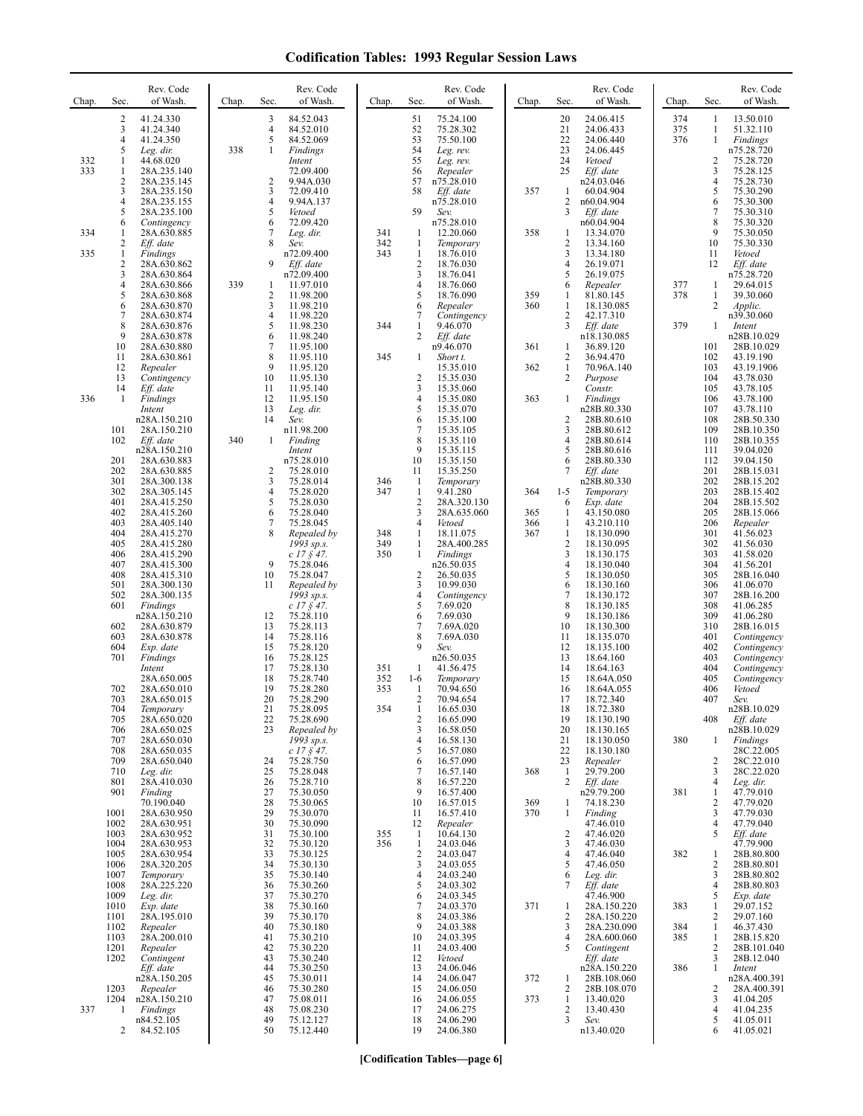| Chap. | Sec.                | Rev. Code<br>of Wash.       | Chap. | Sec.                | Rev. Code<br>of Wash.                 | Chap.      | Sec.                         | Rev. Code<br>of Wash.      | Chap.      | Sec.                | Rev. Code<br>of Wash.      | Chap.      | Sec.                | Rev. Code<br>of Wash.      |
|-------|---------------------|-----------------------------|-------|---------------------|---------------------------------------|------------|------------------------------|----------------------------|------------|---------------------|----------------------------|------------|---------------------|----------------------------|
|       | $\overline{2}$<br>3 | 41.24.330<br>41.24.340      |       | 3<br>4              | 84.52.043<br>84.52.010                |            | 51<br>52                     | 75.24.100<br>75.28.302     |            | 20<br>21            | 24.06.415<br>24.06.433     | 374<br>375 | 1<br>1              | 13.50.010<br>51.32.110     |
|       | 4                   | 41.24.350                   |       | 5                   | 84.52.069                             |            | 53                           | 75.50.100                  |            | 22                  | 24.06.440                  | 376        | $\mathbf{1}$        | Findings                   |
| 332   | 5<br>$\mathbf{1}$   | Leg. dir.<br>44.68.020      | 338   | 1                   | Findings<br>Intent                    |            | 54<br>55                     | Leg. rev.<br>Leg. rev.     |            | 23<br>24            | 24.06.445<br>Vetoed        |            | 2                   | n75.28.720<br>75.28.720    |
| 333   | 1                   | 28A.235.140                 |       |                     | 72.09.400                             |            | 56                           | Repealer                   |            | 25                  | $Eff.$ date                |            | 3                   | 75.28.125                  |
|       | 2<br>3              | 28A.235.145<br>28A.235.150  |       | $\overline{c}$<br>3 | 9.94A.030<br>72.09.410                |            | 57<br>58                     | n75.28.010<br>Eff. date    | 357        | $\mathbf{1}$        | n24.03.046<br>60.04.904    |            | $\overline{4}$<br>5 | 75.28.730<br>75.30.290     |
|       | 4                   | 28A.235.155                 |       | 4<br>5              | 9.94A.137                             |            | 59                           | n75.28.010                 |            | 2                   | n60.04.904                 |            | 6<br>7              | 75.30.300                  |
|       | 5<br>6              | 28A.235.100<br>Contingency  |       | 6                   | Vetoed<br>72.09.420                   |            |                              | Sev.<br>n75.28.010         |            | 3                   | Eff. date<br>n60.04.904    |            | 8                   | 75.30.310<br>75.30.320     |
| 334   | 1<br>2              | 28A.630.885<br>Eff. date    |       | 7<br>8              | Leg. dir.<br>Sev.                     | 341<br>342 | -1<br>1                      | 12.20.060<br>Temporary     | 358        | 1<br>$\overline{c}$ | 13.34.070<br>13.34.160     |            | 9<br>10             | 75.30.050<br>75.30.330     |
| 335   | $\mathbf{1}$        | <b>Findings</b>             |       |                     | n72.09.400                            | 343        | $\mathbf{1}$                 | 18.76.010                  |            | 3                   | 13.34.180                  |            | 11                  | Vetoed                     |
|       | 2<br>3              | 28A.630.862<br>28A.630.864  |       | 9                   | Eff. date<br>n72.09.400               |            | $\sqrt{2}$<br>$\mathbf{3}$   | 18.76.030<br>18.76.041     |            | 4<br>5              | 26.19.071<br>26.19.075     |            | 12                  | Eff. date<br>n75.28.720    |
|       | 4                   | 28A.630.866                 | 339   | -1                  | 11.97.010                             |            | $\overline{4}$<br>5          | 18.76.060                  |            | 6                   | Repealer                   | 377<br>378 | 1                   | 29.64.015                  |
|       | 5<br>6              | 28A.630.868<br>28A.630.870  |       | $\overline{c}$<br>3 | 11.98.200<br>11.98.210                |            | 6                            | 18.76.090<br>Repealer      | 359<br>360 | 1<br>1              | 81.80.145<br>18.130.085    |            | 1<br>2              | 39.30.060<br>Applic.       |
|       | 7<br>8              | 28A.630.874<br>28A.630.876  |       | 4<br>5              | 11.98.220<br>11.98.230                | 344        | 7<br>$\mathbf{1}$            | Contingency<br>9.46.070    |            | 2<br>3              | 42.17.310<br>Eff. date     | 379        | 1                   | n39.30.060<br>Intent       |
|       | 9                   | 28A.630.878                 |       | 6                   | 11.98.240                             |            | 2                            | Eff. date                  |            |                     | n18.130.085                |            |                     | n28B.10.029                |
|       | 10<br>11            | 28A.630.880<br>28A.630.861  |       | 7<br>8              | 11.95.100<br>11.95.110                | 345        | 1                            | n9.46.070<br>Short t.      | 361        | 1<br>2              | 36.89.120<br>36.94.470     |            | 101<br>102          | 28B.10.029<br>43.19.190    |
|       | 12                  | Repealer                    |       | 9<br>10             | 11.95.120<br>11.95.130                |            | $\overline{2}$               | 15.35.010                  | 362        | 1<br>2              | 70.96A.140                 |            | 103<br>104          | 43.19.1906                 |
|       | 13<br>14            | Contingency<br>Eff. date    |       | 11                  | 11.95.140                             |            | 3                            | 15.35.030<br>15.35.060     |            |                     | Purpose<br>Constr.         |            | 105                 | 43.78.030<br>43.78.105     |
| 336   | -1                  | Findings<br>Intent          |       | 12<br>13            | 11.95.150<br>Leg. dir.                |            | $\overline{4}$<br>5          | 15.35.080<br>15.35.070     | 363        | 1                   | Findings<br>n28B.80.330    |            | 106<br>107          | 43.78.100<br>43.78.110     |
|       |                     | n28A.150.210                |       | 14                  | Sev.                                  |            | 6                            | 15.35.100                  |            | 2                   | 28B.80.610                 |            | 108                 | 28B.50.330                 |
|       | 101<br>102          | 28A.150.210<br>Eff. date    | 340   | 1                   | n11.98.200<br>Finding                 |            | 7<br>8                       | 15.35.105<br>15.35.110     |            | 3<br>4              | 28B.80.612<br>28B.80.614   |            | 109<br>110          | 28B.10.350<br>28B.10.355   |
|       | 201                 | n28A.150.210<br>28A.630.883 |       |                     | Intent<br>n75.28.010                  |            | 9<br>10                      | 15.35.115<br>15.35.150     |            | 5<br>6              | 28B.80.616<br>28B.80.330   |            | 111<br>112          | 39.04.020<br>39.04.150     |
|       | 202                 | 28A.630.885                 |       | 2                   | 75.28.010                             |            | 11                           | 15.35.250                  |            | 7                   | Eff. date                  |            | 201                 | 28B.15.031                 |
|       | 301<br>302          | 28A.300.138<br>28A.305.145  |       | 3<br>$\overline{4}$ | 75.28.014<br>75.28.020                | 346<br>347 | $\mathbf{1}$<br>$\mathbf{1}$ | Temporary<br>9.41.280      | 364        | $1-5$               | n28B.80.330<br>Temporary   |            | 202<br>203          | 28B.15.202<br>28B.15.402   |
|       | 401<br>402          | 28A.415.250                 |       | 5<br>6              | 75.28.030<br>75.28.040                |            | $\sqrt{2}$<br>3              | 28A.320.130<br>28A.635.060 | 365        | 6                   | Exp. date                  |            | 204<br>205          | 28B.15.502                 |
|       | 403                 | 28A.415.260<br>28A.405.140  |       | 7                   | 75.28.045                             |            | $\overline{4}$               | Vetoed                     | 366        | 1<br>1              | 43.150.080<br>43.210.110   |            | 206                 | 28B.15.066<br>Repealer     |
|       | 404<br>405          | 28A.415.270<br>28A.415.280  |       | 8                   | Repealed by<br>1993 sp.s.             | 348<br>349 | $\mathbf{1}$<br>1            | 18.11.075<br>28A.400.285   | 367        | $\mathbf{1}$<br>2   | 18.130.090<br>18.130.095   |            | 301<br>302          | 41.56.023<br>41.56.030     |
|       | 406                 | 28A.415.290                 |       |                     | $c$ 17 $\frac{6}{5}$ 47.              | 350        | 1                            | Findings                   |            | 3                   | 18.130.175                 |            | 303                 | 41.58.020                  |
|       | 407<br>408          | 28A.415.300<br>28A.415.310  |       | 9<br>10             | 75.28.046<br>75.28.047                |            | $\overline{2}$               | n26.50.035<br>26.50.035    |            | 4<br>5              | 18.130.040<br>18.130.050   |            | 304<br>305          | 41.56.201<br>28B.16.040    |
|       | 501<br>502          | 28A.300.130<br>28A.300.135  |       | 11                  | Repealed by<br>1993 sp.s.             |            | 3<br>$\overline{4}$          | 10.99.030<br>Contingency   |            | 6<br>7              | 18.130.160<br>18.130.172   |            | 306<br>307          | 41.06.070<br>28B.16.200    |
|       | 601                 | Findings                    |       |                     | $c$ 17 $\frac{6}{5}$ 47.              |            | 5                            | 7.69.020                   |            | 8                   | 18.130.185                 |            | 308                 | 41.06.285                  |
|       | 602                 | n28A.150.210<br>28A.630.879 |       | 12<br>13            | 75.28.110<br>75.28.113                |            | 6<br>7                       | 7.69.030<br>7.69A.020      |            | 9<br>10             | 18.130.186<br>18.130.300   |            | 309<br>310          | 41.06.280<br>28B.16.015    |
|       | 603                 | 28A.630.878                 |       | 14<br>15            | 75.28.116                             |            | 8<br>9                       | 7.69A.030                  |            | 11                  | 18.135.070                 |            | 401<br>402          | Contingency                |
|       | 604<br>701          | Exp. date<br>Findings       |       | 16                  | 75.28.120<br>75.28.125                |            |                              | Sev.<br>n26.50.035         |            | 12<br>13            | 18.135.100<br>18.64.160    |            | 403                 | Contingency<br>Contingency |
|       |                     | Intent<br>28A.650.005       |       | 17<br>18            | 75.28.130<br>75.28.740                | 351<br>352 | -1<br>$1-6$                  | 41.56.475<br>Temporary     |            | 14<br>15            | 18.64.163<br>18.64A.050    |            | 404<br>405          | Contingency<br>Contingency |
|       | 702                 | 28A.650.010                 |       | 19                  | 75.28.280                             | 353        | $\mathbf{1}$                 | 70.94.650                  |            | 16                  | 18.64A.055                 |            | 406                 | Vetoed                     |
|       | 703<br>704          | 28A.650.015<br>Temporary    |       | 20<br>21            | 75.28.290<br>75.28.095                | 354        | 2<br>$\mathbf{1}$            | 70.94.654<br>16.65.030     |            | 17<br>18            | 18.72.340<br>18.72.380     |            | 407                 | Sev.<br>n28B.10.029        |
|       | 705<br>706          | 28A.650.020<br>28A.650.025  |       | 22<br>23            | 75.28.690<br>Repealed by              |            | $\overline{\mathbf{c}}$<br>3 | 16.65.090<br>16.58.050     |            | 19<br>20            | 18.130.190<br>18.130.165   |            | 408                 | Eff. date<br>n28B.10.029   |
|       | 707                 | 28A.650.030                 |       |                     | 1993 sp.s.                            |            | $\overline{4}$               | 16.58.130                  |            | 21                  | 18.130.050                 | 380        | 1                   | Findings                   |
|       | 708<br>709          | 28A.650.035<br>28A.650.040  |       | 24                  | $c$ 17 $\frac{6}{9}$ 47.<br>75.28.750 |            | 5<br>6                       | 16.57.080<br>16.57.090     |            | 22<br>23            | 18.130.180<br>Repealer     |            | 2                   | 28C.22.005<br>28C.22.010   |
|       | 710<br>801          | Leg. dir.<br>28A.410.030    |       | 25<br>26            | 75.28.048<br>75.28.710                |            | 7<br>8                       | 16.57.140<br>16.57.220     | 368        | 1<br>2              | 29.79.200<br>$Eff.$ date   |            | 3<br>4              | 28C.22.020<br>Leg. dir.    |
|       | 901                 | Finding                     |       | 27                  | 75.30.050                             |            | 9                            | 16.57.400                  |            |                     | n29.79.200                 | 381        | 1                   | 47.79.010                  |
|       | 1001                | 70.190.040<br>28A.630.950   |       | 28<br>29            | 75.30.065<br>75.30.070                |            | 10<br>11                     | 16.57.015<br>16.57.410     | 369<br>370 | 1<br>1              | 74.18.230<br>Finding       |            | $\overline{c}$<br>3 | 47.79.020<br>47.79.030     |
|       | 1002                | 28A.630.951                 |       | 30                  | 75.30.090                             |            | 12                           | Repealer                   |            |                     | 47.46.010                  |            | 4                   | 47.79.040                  |
|       | 1003<br>1004        | 28A.630.952<br>28A.630.953  |       | 31<br>32            | 75.30.100<br>75.30.120                | 355<br>356 | $\mathbf{1}$<br>$\mathbf{1}$ | 10.64.130<br>24.03.046     |            | 2<br>3              | 47.46.020<br>47.46.030     |            | 5                   | Eff. date<br>47.79.900     |
|       | 1005<br>1006        | 28A.630.954<br>28A.320.205  |       | 33<br>34            | 75.30.125<br>75.30.130                |            | $\sqrt{2}$<br>$\mathfrak{Z}$ | 24.03.047<br>24.03.055     |            | 4<br>5              | 47.46.040<br>47.46.050     | 382        | 1<br>2              | 28B.80.800<br>28B.80.801   |
|       | 1007                | Temporary                   |       | 35                  | 75.30.140                             |            | $\overline{4}$               | 24.03.240                  |            | 6                   | Leg. dir.                  |            | 3                   | 28B.80.802                 |
|       | 1008<br>1009        | 28A.225.220<br>Leg. dir.    |       | 36<br>37            | 75.30.260<br>75.30.270                |            | 5<br>6                       | 24.03.302<br>24.03.345     |            | 7                   | Eff. date<br>47.46.900     |            | 4<br>5              | 28B.80.803<br>Exp. date    |
|       | 1010<br>1101        | Exp. date<br>28A.195.010    |       | 38<br>39            | 75.30.160<br>75.30.170                |            | 7<br>8                       | 24.03.370<br>24.03.386     | 371        | 1<br>2              | 28A.150.220<br>28A.150.220 | 383        | 1<br>2              | 29.07.152<br>29.07.160     |
|       | 1102                | Repealer                    |       | 40                  | 75.30.180                             |            | 9                            | 24.03.388                  |            | 3                   | 28A.230.090                | 384        | $\mathbf{1}$        | 46.37.430                  |
|       | 1103<br>1201        | 28A.200.010<br>Repealer     |       | 41<br>42            | 75.30.210<br>75.30.220                |            | 10<br>11                     | 24.03.395<br>24.03.400     |            | 4<br>5              | 28A.600.060<br>Contingent  | 385        | $\mathbf{1}$<br>2   | 28B.15.820<br>28B.101.040  |
|       | 1202                | Contingent                  |       | 43<br>44            | 75.30.240<br>75.30.250                |            | 12<br>13                     | Vetoed<br>24.06.046        |            |                     | Eff. date<br>n28A.150.220  | 386        | 3<br>$\mathbf{1}$   | 28B.12.040                 |
|       |                     | Eff. date<br>n28A.150.205   |       | 45                  | 75.30.011                             |            | 14                           | 24.06.047                  | 372        | 1                   | 28B.108.060                |            |                     | Intent<br>n28A.400.391     |
|       | 1203<br>1204        | Repealer<br>n28A.150.210    |       | 46<br>47            | 75.30.280<br>75.08.011                |            | 15<br>16                     | 24.06.050<br>24.06.055     | 373        | 2<br>1              | 28B.108.070<br>13.40.020   |            | 2<br>3              | 28A.400.391<br>41.04.205   |
| 337   | 1                   | Findings                    |       | 48                  | 75.08.230                             |            | 17                           | 24.06.275                  |            | 2                   | 13.40.430                  |            | $\overline{4}$      | 41.04.235                  |
|       | 2                   | n84.52.105<br>84.52.105     |       | 49<br>50            | 75.12.127<br>75.12.440                |            | 18<br>19                     | 24.06.290<br>24.06.380     |            | 3                   | Sev.<br>n13.40.020         |            | 5<br>6              | 41.05.011<br>41.05.021     |
|       |                     |                             |       |                     |                                       |            |                              |                            |            |                     |                            |            |                     |                            |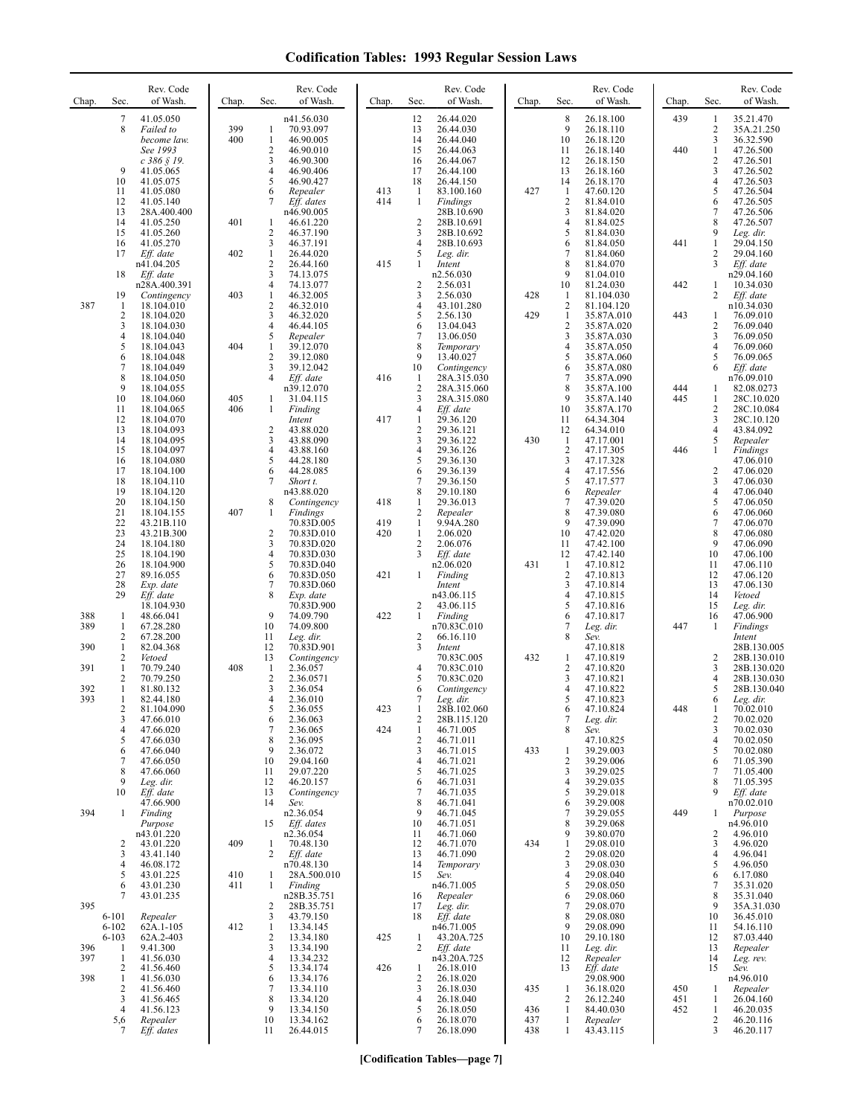| Chap.      | Sec.                                         | Rev. Code<br>of Wash.                                   | Chap.      | Sec.                                                    | Rev. Code<br>of Wash.                                | Chap.      | Sec.                                | Rev. Code<br>of Wash.                                  | Chap.             | Sec.                                        | Rev. Code<br>of Wash.                                | Chap.      | Sec.                                                           | Rev. Code<br>of Wash.                              |
|------------|----------------------------------------------|---------------------------------------------------------|------------|---------------------------------------------------------|------------------------------------------------------|------------|-------------------------------------|--------------------------------------------------------|-------------------|---------------------------------------------|------------------------------------------------------|------------|----------------------------------------------------------------|----------------------------------------------------|
|            | 7<br>8                                       | 41.05.050<br>Failed to<br>become law.                   | 399<br>400 | $\mathbf{1}$<br>$\mathbf{1}$                            | n41.56.030<br>70.93.097<br>46.90.005                 |            | 12<br>13<br>14                      | 26.44.020<br>26.44.030<br>26.44.040                    |                   | 8<br>9<br>10                                | 26.18.100<br>26.18.110<br>26.18.120                  | 439        | 1<br>$\sqrt{2}$<br>3                                           | 35.21.470<br>35A.21.250<br>36.32.590               |
|            | 9<br>10                                      | See 1993<br>$c$ 386 § 19.<br>41.05.065<br>41.05.075     |            | $\overline{2}$<br>3<br>$\overline{4}$<br>5              | 46.90.010<br>46.90.300<br>46.90.406<br>46.90.427     |            | 15<br>16<br>17<br>18                | 26.44.063<br>26.44.067<br>26.44.100<br>26.44.150       |                   | 11<br>12<br>13<br>14                        | 26.18.140<br>26.18.150<br>26.18.160<br>26.18.170     | 440        | $\mathbf{1}$<br>$\overline{c}$<br>3<br>$\overline{\mathbf{4}}$ | 47.26.500<br>47.26.501<br>47.26.502<br>47.26.503   |
|            | 11<br>12<br>13                               | 41.05.080<br>41.05.140<br>28A.400.400                   |            | 6<br>7                                                  | Repealer<br>Eff. dates<br>n46.90.005                 | 413<br>414 | 1<br>1                              | 83.100.160<br>Findings<br>28B.10.690                   | 427               | $\mathbf{1}$<br>$\sqrt{2}$<br>3             | 47.60.120<br>81.84.010<br>81.84.020                  |            | 5<br>6<br>$\tau$                                               | 47.26.504<br>47.26.505<br>47.26.506                |
|            | 14<br>15<br>16                               | 41.05.250<br>41.05.260<br>41.05.270                     | 401        | 1<br>$\overline{c}$<br>3                                | 46.61.220<br>46.37.190<br>46.37.191                  |            | 2<br>3<br>4                         | 28B.10.691<br>28B.10.692<br>28B.10.693                 |                   | $\overline{4}$<br>5<br>6                    | 81.84.025<br>81.84.030<br>81.84.050                  | 441        | 8<br>9<br>1                                                    | 47.26.507<br>Leg. dir.<br>29.04.150                |
|            | 17<br>18                                     | Eff. date<br>n41.04.205<br>Eff. date                    | 402        | $\mathbf{1}$<br>$\sqrt{2}$<br>3<br>$\overline{4}$       | 26.44.020<br>26.44.160<br>74.13.075                  | 415        | 5<br>1<br>2                         | Leg. dir.<br>Intent<br>n2.56.030                       |                   | 7<br>8<br>9<br>10                           | 81.84.060<br>81.84.070<br>81.04.010                  | 442        | 2<br>3<br>1                                                    | 29.04.160<br>Eff. date<br>n29.04.160<br>10.34.030  |
| 387        | 19<br>1<br>2                                 | n28A.400.391<br>Contingency<br>18.104.010<br>18.104.020 | 403        | $\mathbf{1}$<br>$\overline{c}$<br>3                     | 74.13.077<br>46.32.005<br>46.32.010<br>46.32.020     |            | 3<br>4<br>5                         | 2.56.031<br>2.56.030<br>43.101.280<br>2.56.130         | 428<br>429        | -1<br>$\overline{c}$<br>$\mathbf{1}$        | 81.24.030<br>81.104.030<br>81.104.120<br>35.87A.010  | 443        | 2<br>1                                                         | Eff. date<br>n10.34.030<br>76.09.010               |
|            | 3<br>4<br>5                                  | 18.104.030<br>18.104.040<br>18.104.043                  | 404        | $\overline{4}$<br>5<br>$\mathbf{1}$                     | 46.44.105<br>Repealer<br>39.12.070                   |            | 6<br>7<br>8                         | 13.04.043<br>13.06.050<br>Temporary                    |                   | $\overline{2}$<br>3<br>4                    | 35.87A.020<br>35.87A.030<br>35.87A.050               |            | 2<br>3<br>4                                                    | 76.09.040<br>76.09.050<br>76.09.060                |
|            | 6<br>7<br>8<br>9                             | 18.104.048<br>18.104.049<br>18.104.050<br>18.104.055    |            | $\overline{2}$<br>3<br>$\overline{4}$                   | 39.12.080<br>39.12.042<br>Eff. date<br>n39.12.070    | 416        | 9<br>10<br>$\mathbf{1}$<br>2        | 13.40.027<br>Contingency<br>28A.315.030<br>28A.315.060 |                   | 5<br>6<br>7<br>8                            | 35.87A.060<br>35.87A.080<br>35.87A.090<br>35.87A.100 | 444        | 5<br>6<br>1                                                    | 76.09.065<br>Eff. date<br>n76.09.010<br>82.08.0273 |
|            | 10<br>11<br>12                               | 18.104.060<br>18.104.065<br>18.104.070                  | 405<br>406 | 1<br>$\mathbf{1}$                                       | 31.04.115<br>Finding<br>Intent                       | 417        | 3<br>4<br>$\mathbf{1}$              | 28A.315.080<br>Eff. date<br>29.36.120                  |                   | 9<br>10<br>11                               | 35.87A.140<br>35.87A.170<br>64.34.304                | 445        | 1<br>2<br>3                                                    | 28C.10.020<br>28C.10.084<br>28C.10.120             |
|            | 13<br>14<br>15                               | 18.104.093<br>18.104.095<br>18.104.097                  |            | $\overline{2}$<br>$\mathfrak{Z}$<br>$\overline{4}$      | 43.88.020<br>43.88.090<br>43.88.160                  |            | $\overline{c}$<br>3<br>4<br>5       | 29.36.121<br>29.36.122<br>29.36.126                    | 430               | 12<br>$\mathbf{1}$<br>$\overline{c}$<br>3   | 64.34.010<br>47.17.001<br>47.17.305                  | 446        | 4<br>5<br>1                                                    | 43.84.092<br>Repealer<br>Findings                  |
|            | 16<br>17<br>18<br>19                         | 18.104.080<br>18.104.100<br>18.104.110<br>18.104.120    |            | 5<br>6<br>7                                             | 44.28.180<br>44.28.085<br>Short t.<br>n43.88.020     |            | 6<br>7<br>8                         | 29.36.130<br>29.36.139<br>29.36.150<br>29.10.180       |                   | 4<br>5<br>6                                 | 47.17.328<br>47.17.556<br>47.17.577<br>Repealer      |            | 2<br>3<br>4                                                    | 47.06.010<br>47.06.020<br>47.06.030<br>47.06.040   |
|            | 20<br>21<br>22                               | 18.104.150<br>18.104.155<br>43.21B.110                  | 407        | 8<br>1                                                  | Contingency<br>Findings<br>70.83D.005                | 418<br>419 | $\mathbf{1}$<br>2<br>$\mathbf{1}$   | 29.36.013<br>Repealer<br>9.94A.280                     |                   | 7<br>8<br>9                                 | 47.39.020<br>47.39.080<br>47.39.090                  |            | 5<br>6<br>7                                                    | 47.06.050<br>47.06.060<br>47.06.070                |
|            | 23<br>24<br>25<br>26                         | 43.21B.300<br>18.104.180<br>18.104.190<br>18.104.900    |            | $\overline{c}$<br>$\mathfrak{Z}$<br>$\overline{4}$<br>5 | 70.83D.010<br>70.83D.020<br>70.83D.030<br>70.83D.040 | 420        | $\mathbf{1}$<br>$\overline{c}$<br>3 | 2.06.020<br>2.06.076<br>Eff. date<br>n2.06.020         | 431               | 10<br>11<br>12<br>$\mathbf{1}$              | 47.42.020<br>47.42.100<br>47.42.140<br>47.10.812     |            | 8<br>9<br>10<br>11                                             | 47.06.080<br>47.06.090<br>47.06.100<br>47.06.110   |
|            | 27<br>$28\,$<br>29                           | 89.16.055<br>Exp. date<br>Eff. date                     |            | 6<br>$\overline{7}$<br>8                                | 70.83D.050<br>70.83D.060<br>Exp. date                | 421        | 1                                   | Finding<br>Intent<br>n43.06.115                        |                   | $\overline{2}$<br>3<br>$\overline{4}$       | 47.10.813<br>47.10.814<br>47.10.815                  |            | 12<br>13<br>14                                                 | 47.06.120<br>47.06.130<br>Vetoed                   |
| 388<br>389 | 1<br>1<br>2                                  | 18.104.930<br>48.66.041<br>67.28.280<br>67.28.200       |            | 9<br>10<br>11                                           | 70.83D.900<br>74.09.790<br>74.09.800<br>Leg. dir.    | 422        | 2<br>1<br>2                         | 43.06.115<br>Finding<br>n70.83C.010<br>66.16.110       |                   | 5<br>6<br>7<br>8                            | 47.10.816<br>47.10.817<br>Leg. dir.<br>Sev.          | 447        | 15<br>16<br>1                                                  | Leg. dir.<br>47.06.900<br>Findings<br>Intent       |
| 390<br>391 | $\mathbf{1}$<br>$\overline{\mathbf{c}}$<br>1 | 82.04.368<br>Vetoed<br>70.79.240                        | 408        | 12<br>13<br>-1                                          | 70.83D.901<br>Contingency<br>2.36.057                |            | 3<br>4                              | Intent<br>70.83C.005<br>70.83C.010                     | 432               | 1<br>2                                      | 47.10.818<br>47.10.819<br>47.10.820                  |            | 2<br>3                                                         | 28B.130.005<br>28B.130.010<br>28B.130.020          |
| 392<br>393 | 2<br>1<br>1                                  | 70.79.250<br>81.80.132<br>82.44.180                     |            | $\overline{2}$<br>3<br>4                                | 2.36.0571<br>2.36.054<br>2.36.010                    | 423        | 5<br>6<br>7                         | 70.83C.020<br>Contingency<br>Leg. dir.                 |                   | 3<br>4<br>5                                 | 47.10.821<br>47.10.822<br>47.10.823                  | 448        | 4<br>5<br>6                                                    | 28B.130.030<br>28B.130.040<br>Leg. dir.            |
|            | 2<br>3<br>4<br>5                             | 81.104.090<br>47.66.010<br>47.66.020<br>47.66.030       |            | $\mathcal{L}$<br>6<br>7<br>8                            | 2.36.055<br>2.36.063<br>2.36.065<br>2.36.095         | 424        | -1<br>2<br>$\mathbf{1}$<br>2        | 28B.102.060<br>28B.115.120<br>46.71.005<br>46.71.011   |                   | 6<br>7<br>8                                 | 47.10.824<br>Leg. dir.<br>Sev.<br>47.10.825          |            | $\perp$<br>2<br>3<br>4                                         | 70.02.010<br>70.02.020<br>70.02.030<br>70.02.050   |
|            | 6<br>7<br>8<br>9                             | 47.66.040<br>47.66.050<br>47.66.060                     |            | 9<br>10<br>11<br>12                                     | 2.36.072<br>29.04.160<br>29.07.220                   |            | 3<br>4<br>5                         | 46.71.015<br>46.71.021<br>46.71.025                    | 433               | -1<br>$\overline{2}$<br>3<br>$\overline{4}$ | 39.29.003<br>39.29.006<br>39.29.025                  |            | 5<br>6<br>7<br>8                                               | 70.02.080<br>71.05.390<br>71.05.400                |
| 394        | 10<br>$\mathbf{1}$                           | Leg. dir.<br>Eff. date<br>47.66.900<br>Finding          |            | 13<br>14                                                | 46.20.157<br>Contingency<br>Sev.<br>n2.36.054        |            | 6<br>7<br>8<br>9                    | 46.71.031<br>46.71.035<br>46.71.041<br>46.71.045       |                   | 5<br>6<br>7                                 | 39.29.035<br>39.29.018<br>39.29.008<br>39.29.055     | 449        | 9<br>1                                                         | 71.05.395<br>Eff. date<br>n70.02.010<br>Purpose    |
|            | 2                                            | Purpose<br>n43.01.220<br>43.01.220                      | 409        | 15<br>-1                                                | Eff. dates<br>n2.36.054<br>70.48.130                 |            | 10<br>11<br>12                      | 46.71.051<br>46.71.060<br>46.71.070                    | 434               | 8<br>9<br>1                                 | 39.29.068<br>39.80.070<br>29.08.010                  |            | 2<br>3                                                         | n4.96.010<br>4.96.010<br>4.96.020                  |
|            | 3<br>4<br>5<br>6                             | 43.41.140<br>46.08.172<br>43.01.225<br>43.01.230        | 410<br>411 | 2<br>1<br>1                                             | Eff. date<br>n70.48.130<br>28A.500.010<br>Finding    |            | 13<br>14<br>15                      | 46.71.090<br>Temporary<br>Sev.<br>n46.71.005           |                   | 2<br>3<br>4<br>5                            | 29.08.020<br>29.08.030<br>29.08.040<br>29.08.050     |            | 4<br>5<br>6<br>$\tau$                                          | 4.96.041<br>4.96.050<br>6.17.080<br>35.31.020      |
| 395        | 7<br>$6 - 101$                               | 43.01.235<br>Repealer                                   |            | 2<br>3                                                  | n28B.35.751<br>28B.35.751<br>43.79.150               |            | 16<br>17<br>18                      | Repealer<br>Leg. dir.<br>Eff. date                     |                   | 6<br>7<br>8<br>9                            | 29.08.060<br>29.08.070<br>29.08.080                  |            | 8<br>9<br>10                                                   | 35.31.040<br>35A.31.030<br>36.45.010               |
| 396<br>397 | $6 - 102$<br>$6 - 103$<br>1<br>1             | 62A.1-105<br>62A.2-403<br>9.41.300<br>41.56.030         | 412        | 1<br>$\overline{2}$<br>3<br>$\overline{4}$              | 13.34.145<br>13.34.180<br>13.34.190<br>13.34.232     | 425        | 1<br>2                              | n46.71.005<br>43.20A.725<br>Eff. date<br>n43.20A.725   |                   | 10<br>11<br>12                              | 29.08.090<br>29.10.180<br>Leg. dir.<br>Repealer      |            | 11<br>12<br>13<br>14                                           | 54.16.110<br>87.03.440<br>Repealer<br>Leg. rev.    |
| 398        | 2<br>1<br>2                                  | 41.56.460<br>41.56.030<br>41.56.460                     |            | 5<br>6<br>$\overline{7}$                                | 13.34.174<br>13.34.176<br>13.34.110                  | 426        | 1<br>2<br>3                         | 26.18.010<br>26.18.020<br>26.18.030                    | 435               | 13<br>-1                                    | $Eff.$ date<br>29.08.900<br>36.18.020                | 450        | 15<br>1                                                        | Sev.<br>n4.96.010<br>Repealer                      |
|            | 3<br>4<br>5,6                                | 41.56.465<br>41.56.123<br>Repealer<br>Eff. dates        |            | 8<br>9<br>10<br>11                                      | 13.34.120<br>13.34.150<br>13.34.162<br>26.44.015     |            | 4<br>5<br>6<br>7                    | 26.18.040<br>26.18.050<br>26.18.070<br>26.18.090       | 436<br>437<br>438 | 2<br>$\mathbf{1}$<br>1<br>1                 | 26.12.240<br>84.40.030<br>Repealer<br>43.43.115      | 451<br>452 | 1<br>1<br>2<br>3                                               | 26.04.160<br>46.20.035<br>46.20.116<br>46.20.117   |

**[Codification Tables—page 7]**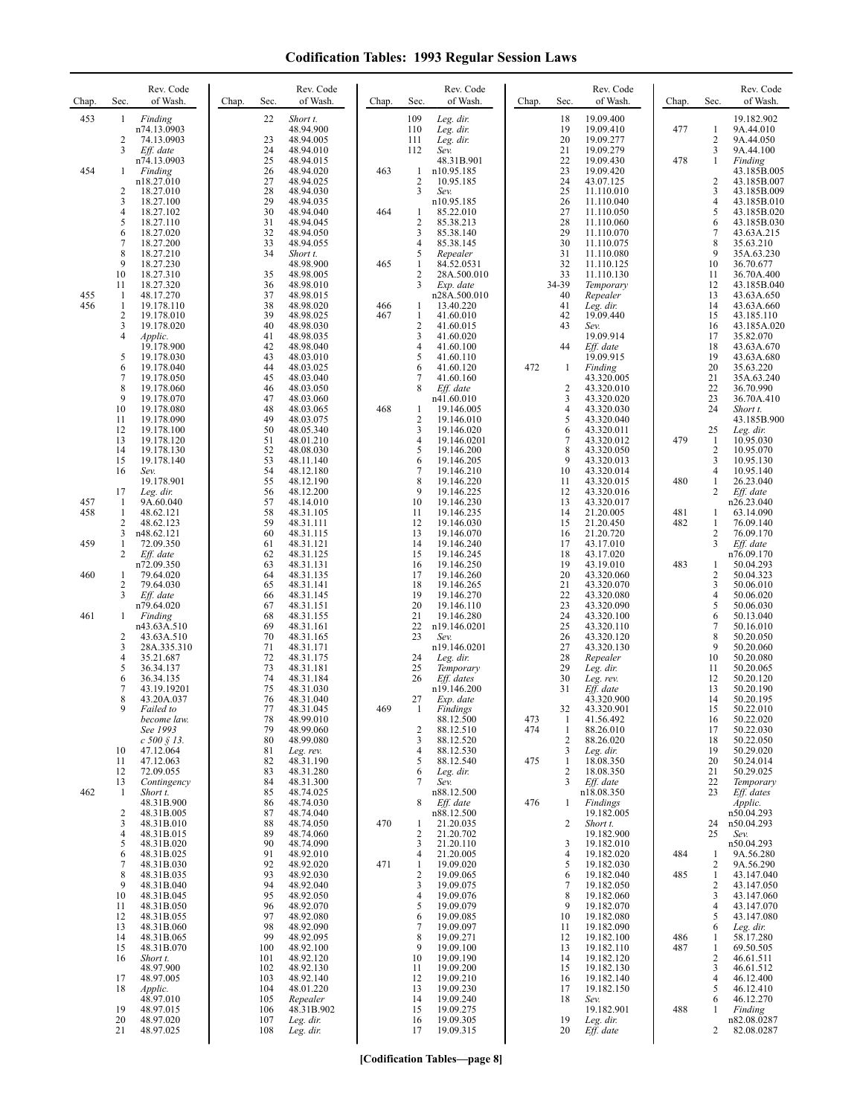| Chap.      | Rev. Code<br>of Wash.<br>Sec.                    | Rev. Code<br>of Wash.<br>Chap.<br>Sec. | Chap. | Rev. Code<br>of Wash.<br>Sec.                            | Chap.<br>Sec.                         | Rev. Code<br>of Wash.     | Chap.      | Sec.                         | Rev. Code<br>of Wash.      |
|------------|--------------------------------------------------|----------------------------------------|-------|----------------------------------------------------------|---------------------------------------|---------------------------|------------|------------------------------|----------------------------|
| 453        | Finding<br>1<br>n74.13.0903                      | Short t.<br>22<br>48.94.900            |       | 109<br>Leg. dir.<br>110<br>Leg. dir.                     | 18<br>19                              | 19.09.400<br>19.09.410    | 477        | 1                            | 19.182.902<br>9A.44.010    |
|            | 2<br>74.13.0903<br>3<br>Eff. date                | 23<br>48.94.005<br>24<br>48.94.010     |       | 111<br>Leg. dir.<br>112<br>Sev.                          | 20<br>21                              | 19.09.277<br>19.09.279    |            | $\overline{2}$<br>3          | 9A.44.050<br>9A.44.100     |
| 454        | n74.13.0903<br>Finding<br>1                      | 25<br>48.94.015<br>26<br>48.94.020     | 463   | 48.31B.901<br>n10.95.185<br>1                            | 22<br>23                              | 19.09.430<br>19.09.420    | 478        | $\mathbf{1}$                 | Finding<br>43.185B.005     |
|            | n18.27.010<br>$\overline{2}$<br>18.27.010        | 27<br>48.94.025<br>28<br>48.94.030     |       | 2<br>10.95.185<br>3<br>Sev.                              | 24<br>25                              | 43.07.125<br>11.110.010   |            | 2<br>3                       | 43.185B.007<br>43.185B.009 |
|            | 3<br>18.27.100<br>$\overline{4}$<br>18.27.102    | 29<br>48.94.035<br>30<br>48.94.040     | 464   | n10.95.185<br>85.22.010<br>1                             | 26<br>27                              | 11.110.040<br>11.110.050  |            | $\overline{4}$<br>5          | 43.185B.010<br>43.185B.020 |
|            | 5<br>18.27.110<br>6<br>18.27.020                 | 31<br>48.94.045<br>32<br>48.94.050     |       | $\overline{c}$<br>85.38.213<br>3<br>85.38.140            | 28<br>29                              | 11.110.060<br>11.110.070  |            | 6<br>$\tau$                  | 43.185B.030<br>43.63A.215  |
|            | $\overline{7}$<br>18.27.200<br>8<br>18.27.210    | 33<br>48.94.055<br>34<br>Short t.      |       | 4<br>85.38.145<br>5<br>Repealer                          | 30<br>31                              | 11.110.075<br>11.110.080  |            | 8<br>9                       | 35.63.210<br>35A.63.230    |
|            | 9<br>18.27.230<br>10<br>18.27.310                | 48.98.900<br>48.98.005                 | 465   | 84.52.0531<br>1<br>2<br>28A.500.010                      | 32<br>33                              | 11.110.125<br>11.110.130  |            | 10<br>11                     | 36.70.677                  |
|            | 18.27.320<br>11                                  | 35<br>36<br>48.98.010                  |       | 3<br>Exp. date                                           | 34-39                                 | Temporary                 |            | 12                           | 36.70A.400<br>43.185B.040  |
| 455<br>456 | 1<br>48.17.270<br>1<br>19.178.110                | 37<br>48.98.015<br>38<br>48.98.020     | 466   | n28A.500.010<br>13.40.220<br>1                           | 40<br>41                              | Repealer<br>Leg. dir.     |            | 13<br>14                     | 43.63A.650<br>43.63A.660   |
|            | $\overline{c}$<br>19.178.010<br>3<br>19.178.020  | 39<br>48.98.025<br>40<br>48.98.030     | 467   | $\mathbf{1}$<br>41.60.010<br>$\overline{c}$<br>41.60.015 | 42<br>43                              | 19.09.440<br>Sev.         |            | 15<br>16                     | 43.185.110<br>43.185A.020  |
|            | $\overline{4}$<br><i>Applic.</i><br>19.178.900   | 41<br>48.98.035<br>42<br>48.98.040     |       | 3<br>41.60.020<br>4<br>41.60.100                         | 44                                    | 19.09.914<br>Eff. date    |            | 17<br>18                     | 35.82.070<br>43.63A.670    |
|            | 5<br>19.178.030<br>6<br>19.178.040               | 43<br>48.03.010<br>44<br>48.03.025     |       | 5<br>41.60.110<br>6<br>41.60.120                         | 472<br>-1                             | 19.09.915<br>Finding      |            | 19<br>20                     | 43.63A.680<br>35.63.220    |
|            | $\tau$<br>19.178.050<br>8<br>19.178.060          | 45<br>48.03.040<br>46<br>48.03.050     |       | 7<br>41.60.160<br>8<br>Eff. date                         | $\overline{c}$                        | 43.320.005<br>43.320.010  |            | 21<br>22                     | 35A.63.240<br>36.70.990    |
|            | 9<br>19.178.070<br>10<br>19.178.080              | 47<br>48.03.060<br>48<br>48.03.065     | 468   | n41.60.010<br>19.146.005<br>1                            | 3<br>$\overline{4}$                   | 43.320.020<br>43.320.030  |            | 23<br>24                     | 36.70A.410<br>Short t.     |
|            | 11<br>19.178.090<br>12<br>19.178.100             | 49<br>48.03.075<br>50<br>48.05.340     |       | $\overline{c}$<br>19.146.010<br>3<br>19.146.020          | 5<br>6                                | 43.320.040<br>43.320.011  |            | 25                           | 43.185B.900<br>Leg. dir.   |
|            | 13<br>19.178.120<br>14<br>19.178.130             | 51<br>48.01.210<br>52<br>48.08.030     |       | 4<br>19.146.0201<br>5<br>19.146.200                      | 7<br>8                                | 43.320.012<br>43.320.050  | 479        | 1<br>$\overline{\mathbf{c}}$ | 10.95.030<br>10.95.070     |
|            | 15<br>19.178.140                                 | 53<br>48.11.140                        |       | 6<br>19.146.205<br>19.146.210                            | 9                                     | 43.320.013                |            | 3                            | 10.95.130                  |
|            | 16<br>Sev.<br>19.178.901                         | 54<br>48.12.180<br>55<br>48.12.190     |       | 7<br>8<br>19.146.220                                     | 10<br>11                              | 43.320.014<br>43.320.015  | 480        | $\overline{4}$<br>1          | 10.95.140<br>26.23.040     |
| 457        | 17<br>Leg. dir.<br>1<br>9A.60.040                | 56<br>48.12.200<br>57<br>48.14.010     |       | 9<br>19.146.225<br>10<br>19.146.230                      | 12<br>13                              | 43.320.016<br>43.320.017  |            | 2                            | Eff. date<br>n26.23.040    |
| 458        | 1<br>48.62.121<br>2<br>48.62.123                 | 58<br>48.31.105<br>59<br>48.31.111     |       | 11<br>19.146.235<br>12<br>19.146.030                     | 14<br>15                              | 21.20.005<br>21.20.450    | 481<br>482 | 1<br>1                       | 63.14.090<br>76.09.140     |
| 459        | 3<br>n48.62.121<br>1<br>72.09.350                | 60<br>48.31.115<br>61<br>48.31.121     |       | 13<br>19.146.070<br>14<br>19.146.240                     | 16<br>17                              | 21.20.720<br>43.17.010    |            | 2<br>3                       | 76.09.170<br>Eff. date     |
|            | 2<br>Eff. date<br>n72.09.350                     | 62<br>48.31.125<br>63<br>48.31.131     |       | 15<br>19.146.245<br>16<br>19.146.250                     | 18<br>19                              | 43.17.020<br>43.19.010    | 483        | 1                            | n76.09.170<br>50.04.293    |
| 460        | 1<br>79.64.020<br>2<br>79.64.030                 | 64<br>48.31.135<br>65<br>48.31.141     |       | 17<br>19.146.260<br>18<br>19.146.265                     | 20<br>21                              | 43.320.060<br>43.320.070  |            | $\sqrt{2}$<br>3              | 50.04.323<br>50.06.010     |
|            | 3<br>Eff. date<br>n79.64.020                     | 66<br>48.31.145<br>67<br>48.31.151     |       | 19<br>19.146.270<br>20<br>19.146.110                     | 22<br>23                              | 43.320.080<br>43.320.090  |            | $\overline{4}$<br>5          | 50.06.020<br>50.06.030     |
| 461        | 1<br>Finding<br>n43.63A.510                      | 68<br>48.31.155<br>69<br>48.31.161     |       | 21<br>19.146.280<br>22<br>n19.146.0201                   | 24<br>25                              | 43.320.100<br>43.320.110  |            | 6<br>$\tau$                  | 50.13.040<br>50.16.010     |
|            | 2<br>43.63A.510<br>3<br>28A.335.310              | 70<br>48.31.165<br>71<br>48.31.171     |       | 23<br>Sev.<br>n19.146.0201                               | 26<br>27                              | 43.320.120<br>43.320.130  |            | 8<br>9                       | 50.20.050<br>50.20.060     |
|            | $\overline{4}$<br>35.21.687                      | 72<br>48.31.175                        |       | 24<br>Leg. dir.                                          | 28                                    | Repealer                  |            | 10                           | 50.20.080                  |
|            | 5<br>36.34.137<br>6<br>36.34.135                 | 73<br>48.31.181<br>74<br>48.31.184     |       | 25<br>Temporary<br>26<br>Eff. dates                      | 29<br>30                              | Leg. dir.<br>Leg. rev.    |            | 11<br>12                     | 50.20.065<br>50.20.120     |
|            | $\overline{7}$<br>43.19.19201<br>8<br>43.20A.037 | 75<br>48.31.030<br>76<br>48.31.040     |       | n19.146.200<br>27<br>Exp. date                           | 31                                    | $Eff.$ date<br>43.320.900 |            | 13<br>14                     | 50.20.190<br>50.20.195     |
|            | 9<br>Failed to<br>become law.                    | 77<br>48.31.045<br>78<br>48.99.010     | 469   | 1<br>Findings<br>88.12.500                               | 32<br>473<br>$\mathbf{1}$             | 43.320.901<br>41.56.492   |            | 15<br>16                     | 50.22.010<br>50.22.020     |
|            | See 1993<br>$c 500 \S 13$ .                      | 79<br>48.99.060<br>80<br>48.99.080     |       | 2<br>88.12.510<br>3<br>88.12.520                         | 474<br>$\mathbf{1}$<br>$\overline{2}$ | 88.26.010<br>88.26.020    |            | 17<br>18                     | 50.22.030<br>50.22.050     |
|            | 10<br>47.12.064<br>11<br>47.12.063               | 81<br>Leg. rev.<br>82<br>48.31.190     |       | 88.12.530<br>4<br>5<br>88.12.540                         | 3<br>475<br>1                         | Leg. dir.<br>18.08.350    |            | 19<br>20                     | 50.29.020<br>50.24.014     |
|            | 72.09.055<br>12<br>13<br>Contingency             | 83<br>48.31.280<br>84<br>48.31.300     |       | Leg. dir.<br>6<br>7<br>Sev.                              | $\overline{2}$<br>3                   | 18.08.350<br>Eff. date    |            | 21<br>22                     | 50.29.025<br>Temporary     |
| 462        | Short t.<br>1<br>48.31B.900                      | 85<br>48.74.025<br>86<br>48.74.030     |       | n88.12.500<br>Eff. date<br>8                             | 476<br>1                              | n18.08.350<br>Findings    |            | 23                           | Eff. dates<br>Applic.      |
|            | $\frac{2}{3}$<br>48.31B.005<br>48.31B.010        | 87<br>48.74.040<br>88<br>48.74.050     | 470   | n88.12.500<br>21.20.035<br>1                             | 2                                     | 19.182.005<br>Short t.    |            | 24                           | n50.04.293<br>n50.04.293   |
|            | $\overline{4}$<br>48.31B.015<br>5<br>48.31B.020  | 89<br>48.74.060<br>90<br>48.74.090     |       | 2<br>21.20.702<br>21.20.110<br>3                         | 3                                     | 19.182.900<br>19.182.010  |            | 25                           | Sev.<br>n50.04.293         |
|            | 6<br>48.31B.025<br>$\boldsymbol{7}$              | 91<br>48.92.010<br>92                  |       | 21.20.005<br>4                                           | 4<br>5                                | 19.182.020                | 484        | 1                            | 9A.56.280                  |
|            | 48.31B.030<br>8<br>48.31B.035                    | 48.92.020<br>93<br>48.92.030           | 471   | 19.09.020<br>1<br>2<br>19.09.065                         | 6                                     | 19.182.030<br>19.182.040  | 485        | 2<br>1                       | 9A.56.290<br>43.147.040    |
|            | 9<br>48.31B.040<br>10<br>48.31B.045              | 94<br>48.92.040<br>95<br>48.92.050     |       | 3<br>19.09.075<br>$\overline{4}$<br>19.09.076            | 7<br>8                                | 19.182.050<br>19.182.060  |            | 2<br>3                       | 43.147.050<br>43.147.060   |
|            | 48.31B.050<br>11<br>12<br>48.31B.055             | 96<br>48.92.070<br>97<br>48.92.080     |       | 5<br>19.09.079<br>6<br>19.09.085                         | 9<br>10                               | 19.182.070<br>19.182.080  |            | $\overline{4}$<br>5          | 43.147.070<br>43.147.080   |
|            | 13<br>48.31B.060<br>14<br>48.31B.065             | 98<br>48.92.090<br>99<br>48.92.095     |       | 7<br>19.09.097<br>8<br>19.09.271                         | 11<br>12                              | 19.182.090<br>19.182.100  | 486        | 6<br>1                       | Leg. dir.<br>58.17.280     |
|            | 48.31B.070<br>15<br>16<br>Short t.               | 48.92.100<br>100<br>101<br>48.92.120   |       | 9<br>19.09.100<br>19.09.190<br>10                        | 13<br>14                              | 19.182.110<br>19.182.120  | 487        | 1<br>$\sqrt{2}$              | 69.50.505<br>46.61.511     |
|            | 48.97.900<br>17<br>48.97.005                     | 102<br>48.92.130<br>48.92.140<br>103   |       | 11<br>19.09.200<br>19.09.210<br>12                       | 15<br>16                              | 19.182.130<br>19.182.140  |            | 3<br>$\overline{4}$          | 46.61.512<br>46.12.400     |
|            | 18<br>Applic.<br>48.97.010                       | 104<br>48.01.220<br>105<br>Repealer    |       | 19.09.230<br>13<br>19.09.240<br>14                       | 17<br>18                              | 19.182.150<br>Sev.        |            | 5<br>6                       | 46.12.410<br>46.12.270     |
|            | 19<br>48.97.015<br>48.97.020<br>20               | 48.31B.902<br>106<br>107<br>Leg. dir.  |       | 19.09.275<br>15<br>19.09.305<br>16                       | 19                                    | 19.182.901<br>Leg. dir.   | 488        | 1                            | Finding<br>n82.08.0287     |
|            | 21<br>48.97.025                                  | 108<br>Leg. dir.                       |       | 19.09.315<br>17                                          | 20                                    | Eff. date                 |            | 2                            | 82.08.0287                 |

**[Codification Tables—page 8]**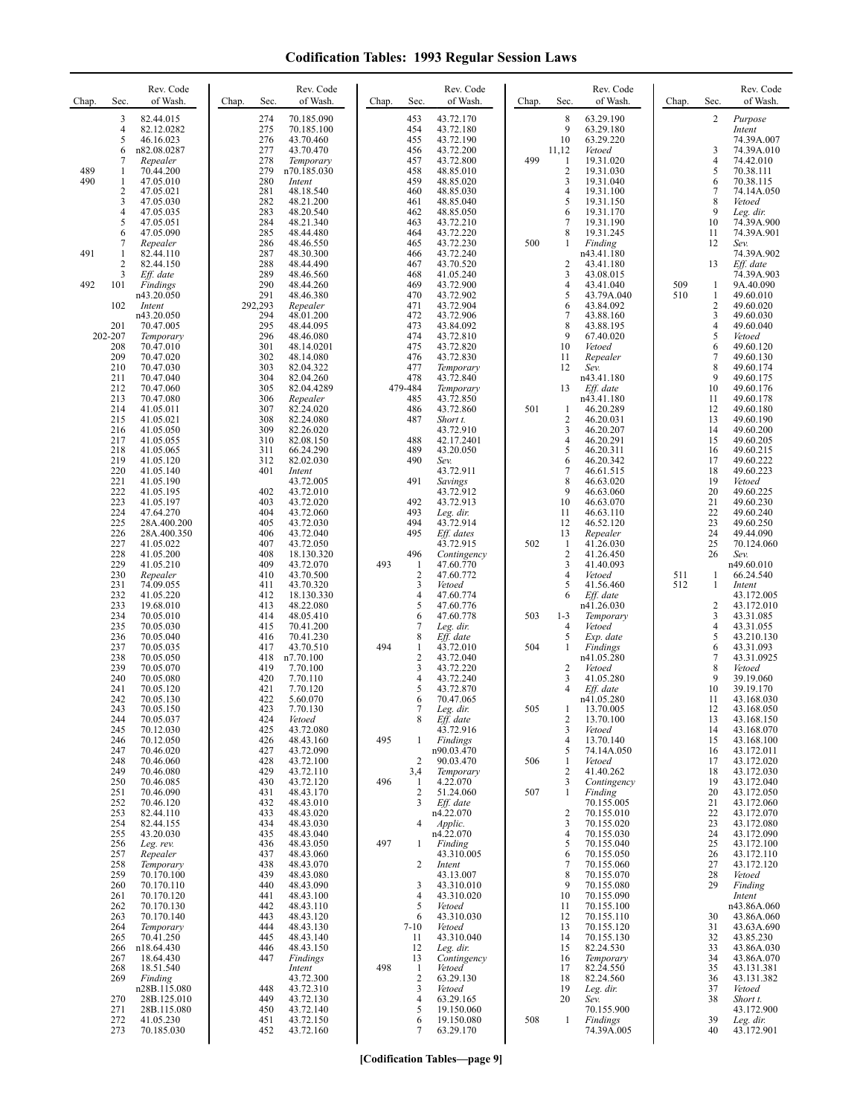| Chap.      | Sec.                                                                             | Rev. Code<br>of Wash.                                                                                                                                                           | Chap.<br>Sec.                                                             | Rev. Code<br>of Wash.                                                                                                                                             | Chap.      | Sec.                                                                                                         | Rev. Code<br>of Wash.                                                                                                                                            | Chap.      | Sec.                                                                      | Rev. Code<br>of Wash.                                                                                                                                                   | Chap.      | Sec.                                                                      | Rev. Code<br>of Wash.                                                                                                                                                 |
|------------|----------------------------------------------------------------------------------|---------------------------------------------------------------------------------------------------------------------------------------------------------------------------------|---------------------------------------------------------------------------|-------------------------------------------------------------------------------------------------------------------------------------------------------------------|------------|--------------------------------------------------------------------------------------------------------------|------------------------------------------------------------------------------------------------------------------------------------------------------------------|------------|---------------------------------------------------------------------------|-------------------------------------------------------------------------------------------------------------------------------------------------------------------------|------------|---------------------------------------------------------------------------|-----------------------------------------------------------------------------------------------------------------------------------------------------------------------|
| 489<br>490 | 3<br>$\overline{4}$<br>5<br>6<br>7<br>1<br>1<br>$\overline{2}$                   | 82.44.015<br>82.12.0282<br>46.16.023<br>n82.08.0287<br>Repealer<br>70.44.200<br>47.05.010<br>47.05.021                                                                          | 274<br>275<br>276<br>277<br>278<br>279<br>280<br>281                      | 70.185.090<br>70.185.100<br>43.70.460<br>43.70.470<br>Temporary<br>n70.185.030<br>Intent<br>48.18.540                                                             |            | 453<br>454<br>455<br>456<br>457<br>458<br>459<br>460                                                         | 43.72.170<br>43.72.180<br>43.72.190<br>43.72.200<br>43.72.800<br>48.85.010<br>48.85.020<br>48.85.030                                                             | 499        | $\,$ 8 $\,$<br>9<br>10<br>11,12<br>1<br>$\overline{\mathbf{c}}$<br>3<br>4 | 63.29.190<br>63.29.180<br>63.29.220<br>Vetoed<br>19.31.020<br>19.31.030<br>19.31.040<br>19.31.100                                                                       |            | 2<br>3<br>4<br>5<br>6<br>7                                                | Purpose<br>Intent<br>74.39A.007<br>74.39A.010<br>74.42.010<br>70.38.111<br>70.38.115<br>74.14A.050                                                                    |
| 491        | 3<br>4<br>5<br>6<br>7<br>1                                                       | 47.05.030<br>47.05.035<br>47.05.051<br>47.05.090<br>Repealer<br>82.44.110                                                                                                       | 282<br>283<br>284<br>285<br>286<br>287                                    | 48.21.200<br>48.20.540<br>48.21.340<br>48.44.480<br>48.46.550<br>48.30.300                                                                                        |            | 461<br>462<br>463<br>464<br>465<br>466                                                                       | 48.85.040<br>48.85.050<br>43.72.210<br>43.72.220<br>43.72.230<br>43.72.240                                                                                       | 500        | 5<br>6<br>7<br>8<br>-1                                                    | 19.31.150<br>19.31.170<br>19.31.190<br>19.31.245<br>Finding<br>n43.41.180                                                                                               |            | 8<br>9<br>10<br>11<br>12                                                  | Vetoed<br>Leg. dir.<br>74.39A.900<br>74.39A.901<br>Sev.<br>74.39A.902                                                                                                 |
| 492        | 2<br>3<br>101                                                                    | 82.44.150<br>Eff. date<br>Findings<br>n43.20.050                                                                                                                                | 288<br>289<br>290<br>291                                                  | 48.44.490<br>48.46.560<br>48.44.260<br>48.46.380                                                                                                                  |            | 467<br>468<br>469<br>470                                                                                     | 43.70.520<br>41.05.240<br>43.72.900<br>43.72.902                                                                                                                 |            | 2<br>3<br>4<br>5                                                          | 43.41.180<br>43.08.015<br>43.41.040<br>43.79A.040                                                                                                                       | 509<br>510 | 13<br>1<br>$\mathbf{1}$                                                   | Eff. date<br>74.39A.903<br>9A.40.090<br>49.60.010                                                                                                                     |
|            | 102<br>201<br>202-207<br>208<br>209<br>210<br>211<br>212                         | Intent<br>n43.20.050<br>70.47.005<br>Temporary<br>70.47.010<br>70.47.020<br>70.47.030<br>70.47.040<br>70.47.060                                                                 | 292,293<br>294<br>295<br>296<br>301<br>302<br>303<br>304<br>305           | Repealer<br>48.01.200<br>48.44.095<br>48.46.080<br>48.14.0201<br>48.14.080<br>82.04.322<br>82.04.260<br>82.04.4289                                                |            | 471<br>472<br>473<br>474<br>475<br>476<br>477<br>478<br>479-484                                              | 43.72.904<br>43.72.906<br>43.84.092<br>43.72.810<br>43.72.820<br>43.72.830<br>Temporary<br>43.72.840<br>Temporary                                                |            | 6<br>7<br>8<br>9<br>10<br>11<br>12<br>13                                  | 43.84.092<br>43.88.160<br>43.88.195<br>67.40.020<br>Vetoed<br>Repealer<br>Sev.<br>n43.41.180<br>$Eff.$ date                                                             |            | $\sqrt{2}$<br>3<br>$\overline{\mathbf{4}}$<br>5<br>6<br>7<br>8<br>9<br>10 | 49.60.020<br>49.60.030<br>49.60.040<br>Vetoed<br>49.60.120<br>49.60.130<br>49.60.174<br>49.60.175<br>49.60.176                                                        |
|            | 213<br>214<br>215<br>216<br>217<br>218<br>219<br>220<br>221                      | 70.47.080<br>41.05.011<br>41.05.021<br>41.05.050<br>41.05.055<br>41.05.065<br>41.05.120<br>41.05.140<br>41.05.190                                                               | 306<br>307<br>308<br>309<br>310<br>311<br>312<br>401                      | Repealer<br>82.24.020<br>82.24.080<br>82.26.020<br>82.08.150<br>66.24.290<br>82.02.030<br>Intent<br>43.72.005                                                     |            | 485<br>486<br>487<br>488<br>489<br>490<br>491                                                                | 43.72.850<br>43.72.860<br>Short t.<br>43.72.910<br>42.17.2401<br>43.20.050<br>Sev.<br>43.72.911<br>Savings                                                       | 501        | 1<br>2<br>3<br>$\overline{4}$<br>5<br>6<br>$\tau$<br>8                    | n43.41.180<br>46.20.289<br>46.20.031<br>46.20.207<br>46.20.291<br>46.20.311<br>46.20.342<br>46.61.515<br>46.63.020                                                      |            | 11<br>12<br>13<br>14<br>15<br>16<br>17<br>18<br>19                        | 49.60.178<br>49.60.180<br>49.60.190<br>49.60.200<br>49.60.205<br>49.60.215<br>49.60.222<br>49.60.223<br>Vetoed                                                        |
|            | 222<br>223<br>224<br>225<br>226<br>227<br>228<br>229<br>230                      | 41.05.195<br>41.05.197<br>47.64.270<br>28A.400.200<br>28A.400.350<br>41.05.022<br>41.05.200<br>41.05.210<br>Repealer                                                            | 402<br>403<br>404<br>405<br>406<br>407<br>408<br>409<br>410               | 43.72.010<br>43.72.020<br>43.72.060<br>43.72.030<br>43.72.040<br>43.72.050<br>18.130.320<br>43.72.070<br>43.70.500                                                | 493        | 492<br>493<br>494<br>495<br>496<br>$\mathbf{1}$<br>$\overline{c}$                                            | 43.72.912<br>43.72.913<br>Leg. dir.<br>43.72.914<br>Eff. dates<br>43.72.915<br>Contingency<br>47.60.770<br>47.60.772                                             | 502        | 9<br>10<br>11<br>12<br>13<br>1<br>2<br>3<br>4                             | 46.63.060<br>46.63.070<br>46.63.110<br>46.52.120<br>Repealer<br>41.26.030<br>41.26.450<br>41.40.093<br>Vetoed                                                           | 511        | 20<br>21<br>22<br>23<br>24<br>25<br>26<br>1                               | 49.60.225<br>49.60.230<br>49.60.240<br>49.60.250<br>49.44.090<br>70.124.060<br>Sev.<br>n49.60.010<br>66.24.540                                                        |
|            | 231<br>232<br>233<br>234<br>235<br>236<br>237                                    | 74.09.055<br>41.05.220<br>19.68.010<br>70.05.010<br>70.05.030<br>70.05.040<br>70.05.035                                                                                         | 411<br>412<br>413<br>414<br>415<br>416<br>417                             | 43.70.320<br>18.130.330<br>48.22.080<br>48.05.410<br>70.41.200<br>70.41.230<br>43.70.510                                                                          | 494        | 3<br>$\overline{4}$<br>5<br>6<br>7<br>8<br>1                                                                 | Vetoed<br>47.60.774<br>47.60.776<br>47.60.778<br>Leg. dir.<br>$Eff$ . date<br>43.72.010                                                                          | 503<br>504 | 5<br>6<br>$1 - 3$<br>4<br>5<br>$\mathbf{1}$                               | 41.56.460<br>$Eff.$ date<br>n41.26.030<br>Temporary<br>Vetoed<br>Exp. date<br>Findings                                                                                  | 512        | 1<br>2<br>3<br>$\overline{\mathbf{4}}$<br>5<br>6                          | Intent<br>43.172.005<br>43.172.010<br>43.31.085<br>43.31.055<br>43.210.130<br>43.31.093                                                                               |
|            | 238<br>239<br>240<br>241<br>242<br>243<br>244                                    | 70.05.050<br>70.05.070<br>70.05.080<br>70.05.120<br>70.05.130<br>70.05.150<br>70.05.037                                                                                         | 418<br>419<br>420<br>421<br>422<br>423<br>424                             | n7.70.100<br>7.70.100<br>7.70.110<br>7.70.120<br>5.60.070<br>7.70.130<br>Vetoed                                                                                   |            | $\overline{2}$<br>3<br>4<br>5<br>6<br>8                                                                      | 43.72.040<br>43.72.220<br>43.72.240<br>43.72.870<br>70.47.065<br>Leg. dir.<br>$Eff.$ date                                                                        | 505        | $\overline{\mathbf{c}}$<br>3<br>$\overline{4}$<br>$\overline{\mathbf{c}}$ | n41.05.280<br>Vetoed<br>41.05.280<br>Eff. date<br>n41.05.280<br>13.70.005<br>13.70.100                                                                                  |            | 7<br>8<br>9<br>10<br>11<br>12<br>13                                       | 43.31.0925<br>Vetoed<br>39.19.060<br>39.19.170<br>43.168.030<br>43.168.050<br>43.168.150                                                                              |
|            | 245<br>246<br>247<br>248<br>249<br>250<br>251                                    | 70.12.030<br>70.12.050<br>70.46.020<br>70.46.060<br>70.46.080<br>70.46.085<br>70.46.090                                                                                         | 425<br>426<br>427<br>428<br>429<br>430<br>431                             | 43.72.080<br>48.43.160<br>43.72.090<br>43.72.100<br>43.72.110<br>43.72.120<br>48.43.170                                                                           | 495<br>496 | 1<br>$\overline{2}$<br>3,4<br>1<br>$\overline{2}$                                                            | 43.72.916<br>Findings<br>n90.03.470<br>90.03.470<br>Temporary<br>4.22.070<br>51.24.060                                                                           | 506<br>507 | 3<br>$\overline{4}$<br>5<br>1<br>$\overline{c}$<br>3<br>1                 | Vetoed<br>13.70.140<br>74.14A.050<br>Vetoed<br>41.40.262<br>Contingency<br>Finding                                                                                      |            | 14<br>15<br>16<br>17<br>18<br>19<br>20                                    | 43.168.070<br>43.168.100<br>43.172.011<br>43.172.020<br>43.172.030<br>43.172.040<br>43.172.050                                                                        |
|            | 252<br>253<br>254<br>255<br>256<br>257<br>258<br>259                             | 70.46.120<br>82.44.110<br>82.44.155<br>43.20.030<br>Leg. rev.<br>Repealer<br>Temporary<br>70.170.100                                                                            | 432<br>433<br>434<br>435<br>436<br>437<br>438<br>439                      | 48.43.010<br>48.43.020<br>48.43.030<br>48.43.040<br>48.43.050<br>48.43.060<br>48.43.070<br>48.43.080                                                              | 497        | 3<br>4<br>1<br>2                                                                                             | Eff. date<br>n4.22.070<br>Applic.<br>n4.22.070<br>Finding<br>43.310.005<br>Intent<br>43.13.007                                                                   |            | $\overline{c}$<br>3<br>4<br>5<br>6<br>7<br>8                              | 70.155.005<br>70.155.010<br>70.155.020<br>70.155.030<br>70.155.040<br>70.155.050<br>70.155.060<br>70.155.070                                                            |            | 21<br>22<br>23<br>24<br>25<br>26<br>27<br>28                              | 43.172.060<br>43.172.070<br>43.172.080<br>43.172.090<br>43.172.100<br>43.172.110<br>43.172.120<br>Vetoed                                                              |
|            | 260<br>261<br>262<br>263<br>264<br>265<br>266<br>267<br>268<br>269<br>270<br>271 | 70.170.110<br>70.170.120<br>70.170.130<br>70.170.140<br>Temporary<br>70.41.250<br>n18.64.430<br>18.64.430<br>18.51.540<br>Finding<br>n28B.115.080<br>28B.125.010<br>28B.115.080 | 440<br>441<br>442<br>443<br>444<br>445<br>446<br>447<br>448<br>449<br>450 | 48.43.090<br>48.43.100<br>48.43.110<br>48.43.120<br>48.43.130<br>48.43.140<br>48.43.150<br>Findings<br>Intent<br>43.72.300<br>43.72.310<br>43.72.130<br>43.72.140 | 498        | 3<br>$\overline{4}$<br>5<br>6<br>$7 - 10$<br>11<br>12<br>13<br>$\mathbf{1}$<br>$\overline{c}$<br>3<br>4<br>5 | 43.310.010<br>43.310.020<br>Vetoed<br>43.310.030<br>Vetoed<br>43.310.040<br>Leg. dir.<br>Contingency<br>Vetoed<br>63.29.130<br>Vetoed<br>63.29.165<br>19.150.060 |            | 9<br>10<br>11<br>12<br>13<br>14<br>15<br>16<br>17<br>18<br>19<br>20       | 70.155.080<br>70.155.090<br>70.155.100<br>70.155.110<br>70.155.120<br>70.155.130<br>82.24.530<br>Temporary<br>82.24.550<br>82.24.560<br>Leg. dir.<br>Sev.<br>70.155.900 |            | 29<br>30<br>31<br>32<br>33<br>34<br>35<br>36<br>37<br>38                  | Finding<br>Intent<br>n43.86A.060<br>43.86A.060<br>43.63A.690<br>43.85.230<br>43.86A.030<br>43.86A.070<br>43.131.381<br>43.131.382<br>Vetoed<br>Short t.<br>43.172.900 |
|            | 272<br>273                                                                       | 41.05.230<br>70.185.030                                                                                                                                                         | 451<br>452                                                                | 43.72.150<br>43.72.160                                                                                                                                            |            | 6<br>7                                                                                                       | 19.150.080<br>63.29.170                                                                                                                                          | 508        | 1                                                                         | <b>Findings</b><br>74.39A.005                                                                                                                                           |            | 39<br>40                                                                  | Leg. dir.<br>43.172.901                                                                                                                                               |

**[Codification Tables—page 9]**